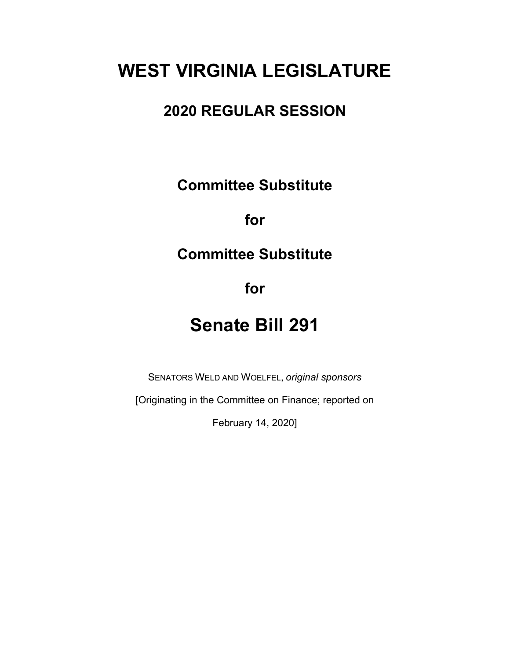# **WEST VIRGINIA LEGISLATURE**

# **2020 REGULAR SESSION**

**Committee Substitute**

**for**

# **Committee Substitute**

**for**

# **Senate Bill 291**

SENATORS WELD AND WOELFEL, *original sponsors*

[Originating in the Committee on Finance; reported on

February 14, 2020]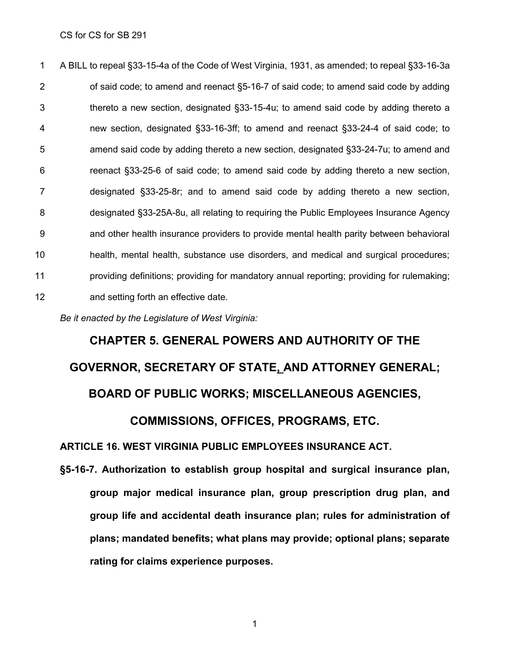A BILL to repeal §33-15-4a of the Code of West Virginia, 1931, as amended; to repeal §33-16-3a 2 of said code; to amend and reenact §5-16-7 of said code; to amend said code by adding thereto a new section, designated §33-15-4u; to amend said code by adding thereto a new section, designated §33-16-3ff; to amend and reenact §33-24-4 of said code; to amend said code by adding thereto a new section, designated §33-24-7u; to amend and reenact §33-25-6 of said code; to amend said code by adding thereto a new section, designated §33-25-8r; and to amend said code by adding thereto a new section, designated §33-25A-8u, all relating to requiring the Public Employees Insurance Agency and other health insurance providers to provide mental health parity between behavioral health, mental health, substance use disorders, and medical and surgical procedures; providing definitions; providing for mandatory annual reporting; providing for rulemaking; and setting forth an effective date.

*Be it enacted by the Legislature of West Virginia:*

# **CHAPTER 5. GENERAL POWERS AND AUTHORITY OF THE GOVERNOR, SECRETARY OF STATE, AND ATTORNEY GENERAL; BOARD OF PUBLIC WORKS; MISCELLANEOUS AGENCIES,**

**COMMISSIONS, OFFICES, PROGRAMS, ETC.**

**ARTICLE 16. WEST VIRGINIA PUBLIC [EMPLOYEES](http://code.wvlegislature.gov/5-16/) INSURANCE ACT.**

**§5-16-7. Authorization to establish group hospital and surgical insurance plan, group major medical insurance plan, group prescription drug plan, and group life and accidental death insurance plan; rules for administration of plans; mandated benefits; what plans may provide; optional plans; separate rating for claims experience purposes.**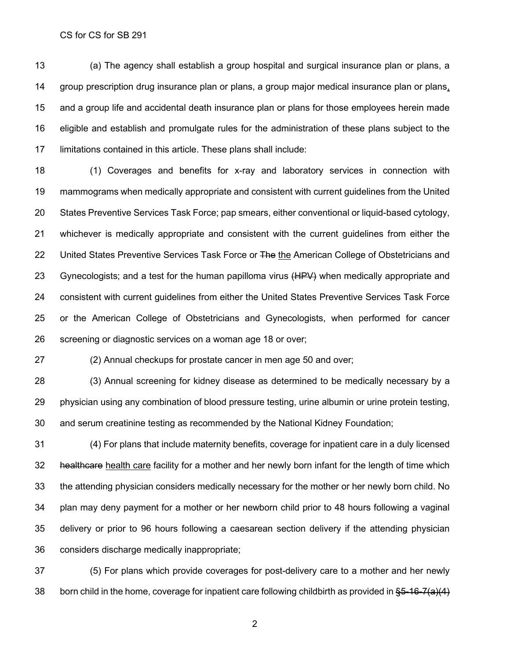(a) The agency shall establish a group hospital and surgical insurance plan or plans, a group prescription drug insurance plan or plans, a group major medical insurance plan or plans, and a group life and accidental death insurance plan or plans for those employees herein made eligible and establish and promulgate rules for the administration of these plans subject to the limitations contained in this article. These plans shall include:

 (1) Coverages and benefits for x-ray and laboratory services in connection with mammograms when medically appropriate and consistent with current guidelines from the United States Preventive Services Task Force; pap smears, either conventional or liquid-based cytology, whichever is medically appropriate and consistent with the current guidelines from either the 22 United States Preventive Services Task Force or The the American College of Obstetricians and 23 Gynecologists; and a test for the human papilloma virus (HPV) when medically appropriate and consistent with current guidelines from either the United States Preventive Services Task Force or the American College of Obstetricians and Gynecologists, when performed for cancer screening or diagnostic services on a woman age 18 or over;

(2) Annual checkups for prostate cancer in men age 50 and over;

 (3) Annual screening for kidney disease as determined to be medically necessary by a physician using any combination of blood pressure testing, urine albumin or urine protein testing, and serum creatinine testing as recommended by the National Kidney Foundation;

 (4) For plans that include maternity benefits, coverage for inpatient care in a duly licensed 32 healthcare health care facility for a mother and her newly born infant for the length of time which the attending physician considers medically necessary for the mother or her newly born child. No plan may deny payment for a mother or her newborn child prior to 48 hours following a vaginal delivery or prior to 96 hours following a caesarean section delivery if the attending physician considers discharge medically inappropriate;

 (5) For plans which provide coverages for post-delivery care to a mother and her newly 38 born child in the home, coverage for inpatient care following childbirth as provided in  $\S5-16-7(a)(4)$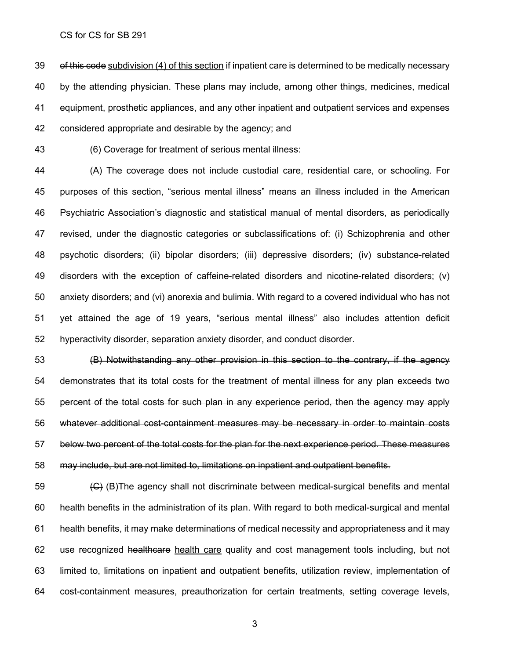39 of this code subdivision (4) of this section if inpatient care is determined to be medically necessary by the attending physician. These plans may include, among other things, medicines, medical equipment, prosthetic appliances, and any other inpatient and outpatient services and expenses considered appropriate and desirable by the agency; and

(6) Coverage for treatment of serious mental illness:

 (A) The coverage does not include custodial care, residential care, or schooling. For purposes of this section, "serious mental illness" means an illness included in the American Psychiatric Association's diagnostic and statistical manual of mental disorders, as periodically revised, under the diagnostic categories or subclassifications of: (i) Schizophrenia and other psychotic disorders; (ii) bipolar disorders; (iii) depressive disorders; (iv) substance-related disorders with the exception of caffeine-related disorders and nicotine-related disorders; (v) anxiety disorders; and (vi) anorexia and bulimia. With regard to a covered individual who has not yet attained the age of 19 years, "serious mental illness" also includes attention deficit hyperactivity disorder, separation anxiety disorder, and conduct disorder.

 (B) Notwithstanding any other provision in this section to the contrary, if the agency demonstrates that its total costs for the treatment of mental illness for any plan exceeds two percent of the total costs for such plan in any experience period, then the agency may apply whatever additional cost-containment measures may be necessary in order to maintain costs below two percent of the total costs for the plan for the next experience period. These measures may include, but are not limited to, limitations on inpatient and outpatient benefits.

 $\left(\bigoplus\right)$  (B)The agency shall not discriminate between medical-surgical benefits and mental health benefits in the administration of its plan. With regard to both medical-surgical and mental health benefits, it may make determinations of medical necessity and appropriateness and it may 62 use recognized healthcare health care quality and cost management tools including, but not limited to, limitations on inpatient and outpatient benefits, utilization review, implementation of cost-containment measures, preauthorization for certain treatments, setting coverage levels,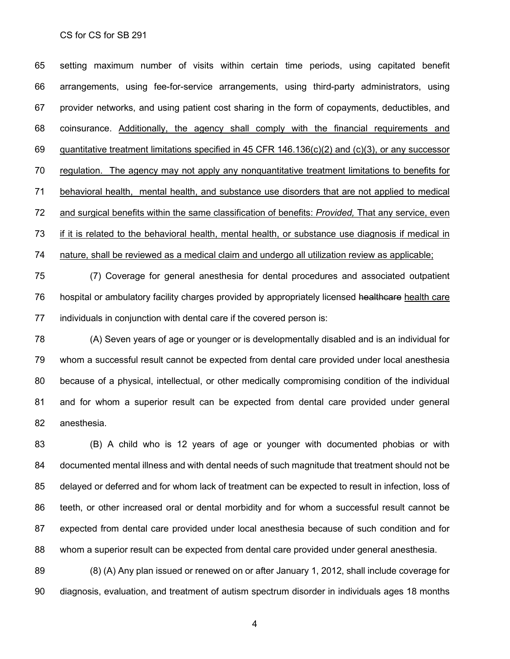setting maximum number of visits within certain time periods, using capitated benefit arrangements, using fee-for-service arrangements, using third-party administrators, using provider networks, and using patient cost sharing in the form of copayments, deductibles, and coinsurance. Additionally, the agency shall comply with the financial requirements and quantitative treatment limitations specified in 45 CFR 146.136(c)(2) and (c)(3), or any successor regulation. The agency may not apply any nonquantitative treatment limitations to benefits for behavioral health, mental health, and substance use disorders that are not applied to medical and surgical benefits within the same classification of benefits: *Provided,* That any service, even if it is related to the behavioral health, mental health, or substance use diagnosis if medical in nature, shall be reviewed as a medical claim and undergo all utilization review as applicable;

 (7) Coverage for general anesthesia for dental procedures and associated outpatient 76 hospital or ambulatory facility charges provided by appropriately licensed healthcare health care individuals in conjunction with dental care if the covered person is:

 (A) Seven years of age or younger or is developmentally disabled and is an individual for whom a successful result cannot be expected from dental care provided under local anesthesia because of a physical, intellectual, or other medically compromising condition of the individual and for whom a superior result can be expected from dental care provided under general anesthesia.

 (B) A child who is 12 years of age or younger with documented phobias or with documented mental illness and with dental needs of such magnitude that treatment should not be delayed or deferred and for whom lack of treatment can be expected to result in infection, loss of teeth, or other increased oral or dental morbidity and for whom a successful result cannot be expected from dental care provided under local anesthesia because of such condition and for whom a superior result can be expected from dental care provided under general anesthesia.

 (8) (A) Any plan issued or renewed on or after January 1, 2012, shall include coverage for diagnosis, evaluation, and treatment of autism spectrum disorder in individuals ages 18 months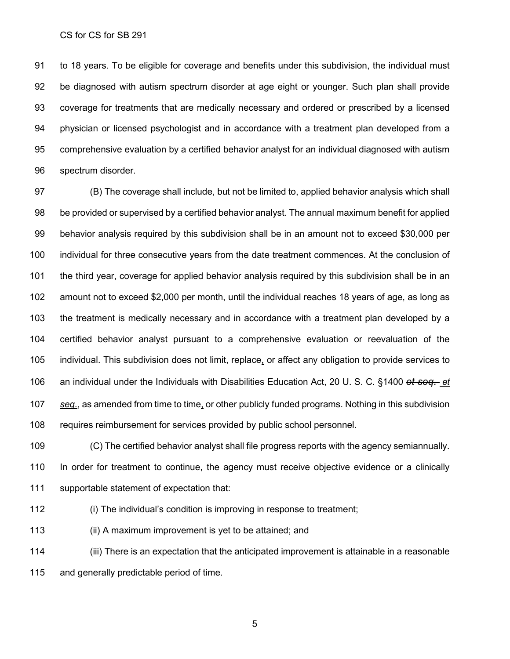to 18 years. To be eligible for coverage and benefits under this subdivision, the individual must be diagnosed with autism spectrum disorder at age eight or younger. Such plan shall provide coverage for treatments that are medically necessary and ordered or prescribed by a licensed physician or licensed psychologist and in accordance with a treatment plan developed from a comprehensive evaluation by a certified behavior analyst for an individual diagnosed with autism spectrum disorder.

 (B) The coverage shall include, but not be limited to, applied behavior analysis which shall be provided or supervised by a certified behavior analyst. The annual maximum benefit for applied behavior analysis required by this subdivision shall be in an amount not to exceed \$30,000 per individual for three consecutive years from the date treatment commences. At the conclusion of the third year, coverage for applied behavior analysis required by this subdivision shall be in an amount not to exceed \$2,000 per month, until the individual reaches 18 years of age, as long as the treatment is medically necessary and in accordance with a treatment plan developed by a certified behavior analyst pursuant to a comprehensive evaluation or reevaluation of the individual. This subdivision does not limit, replace, or affect any obligation to provide services to an individual under the Individuals with Disabilities Education Act, 20 U. S. C. §1400 *et seq*. *et seq*., as amended from time to time, or other publicly funded programs. Nothing in this subdivision requires reimbursement for services provided by public school personnel.

 (C) The certified behavior analyst shall file progress reports with the agency semiannually. In order for treatment to continue, the agency must receive objective evidence or a clinically supportable statement of expectation that:

(i) The individual's condition is improving in response to treatment;

(ii) A maximum improvement is yet to be attained; and

 (iii) There is an expectation that the anticipated improvement is attainable in a reasonable and generally predictable period of time.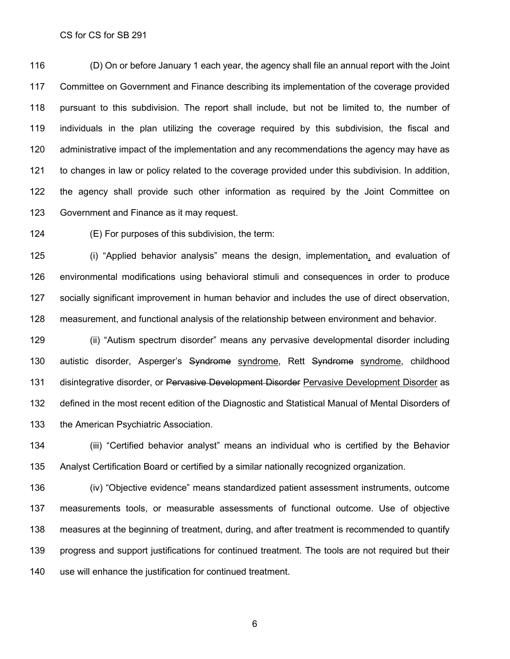(D) On or before January 1 each year, the agency shall file an annual report with the Joint Committee on Government and Finance describing its implementation of the coverage provided pursuant to this subdivision. The report shall include, but not be limited to, the number of individuals in the plan utilizing the coverage required by this subdivision, the fiscal and administrative impact of the implementation and any recommendations the agency may have as to changes in law or policy related to the coverage provided under this subdivision. In addition, the agency shall provide such other information as required by the Joint Committee on Government and Finance as it may request.

(E) For purposes of this subdivision, the term:

 (i) "Applied behavior analysis" means the design, implementation, and evaluation of environmental modifications using behavioral stimuli and consequences in order to produce socially significant improvement in human behavior and includes the use of direct observation, measurement, and functional analysis of the relationship between environment and behavior.

 (ii) "Autism spectrum disorder" means any pervasive developmental disorder including 130 autistic disorder, Asperger's Syndrome syndrome, Rett Syndrome syndrome, childhood 131 disintegrative disorder, or Pervasive Development Disorder Pervasive Development Disorder as defined in the most recent edition of the Diagnostic and Statistical Manual of Mental Disorders of the American Psychiatric Association.

 (iii) "Certified behavior analyst" means an individual who is certified by the Behavior Analyst Certification Board or certified by a similar nationally recognized organization.

 (iv) "Objective evidence" means standardized patient assessment instruments, outcome measurements tools, or measurable assessments of functional outcome. Use of objective measures at the beginning of treatment, during, and after treatment is recommended to quantify progress and support justifications for continued treatment. The tools are not required but their use will enhance the justification for continued treatment.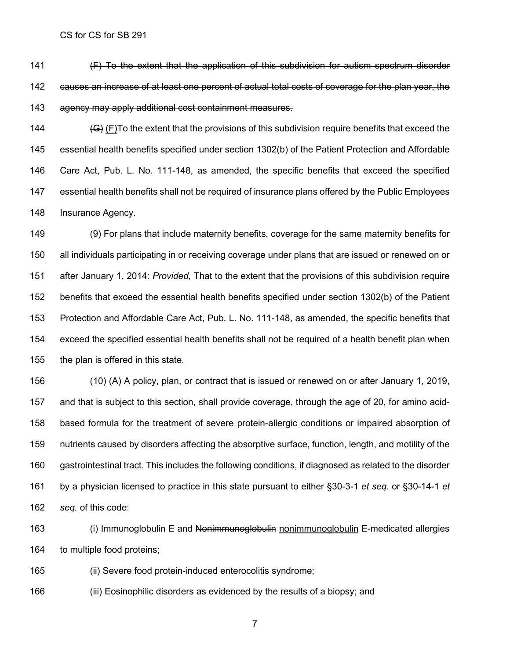141 (F) To the extent that the application of this subdivision for autism spectrum disorder 142 eauses an increase of at least one percent of actual total costs of coverage for the plan year, the agency may apply additional cost containment measures.

 $(G)$  (F)To the extent that the provisions of this subdivision require benefits that exceed the essential health benefits specified under section 1302(b) of the Patient Protection and Affordable Care Act, Pub. L. No. 111-148, as amended, the specific benefits that exceed the specified essential health benefits shall not be required of insurance plans offered by the Public Employees 148 Insurance Agency.

 (9) For plans that include maternity benefits, coverage for the same maternity benefits for all individuals participating in or receiving coverage under plans that are issued or renewed on or after January 1, 2014: *Provided,* That to the extent that the provisions of this subdivision require benefits that exceed the essential health benefits specified under section 1302(b) of the Patient Protection and Affordable Care Act, Pub. L. No. 111-148, as amended, the specific benefits that exceed the specified essential health benefits shall not be required of a health benefit plan when the plan is offered in this state.

 (10) (A) A policy, plan, or contract that is issued or renewed on or after January 1, 2019, and that is subject to this section, shall provide coverage, through the age of 20, for amino acid- based formula for the treatment of severe protein-allergic conditions or impaired absorption of nutrients caused by disorders affecting the absorptive surface, function, length, and motility of the gastrointestinal tract. This includes the following conditions, if diagnosed as related to the disorder by a physician licensed to practice in this state pursuant to either §30-3-1 *et seq.* or §30-14-1 *et seq.* of this code:

163 (i) Immunoglobulin E and Nonimmunoglobulin nonimmunoglobulin E-medicated allergies to multiple food proteins;

(ii) Severe food protein-induced enterocolitis syndrome;

(iii) Eosinophilic disorders as evidenced by the results of a biopsy; and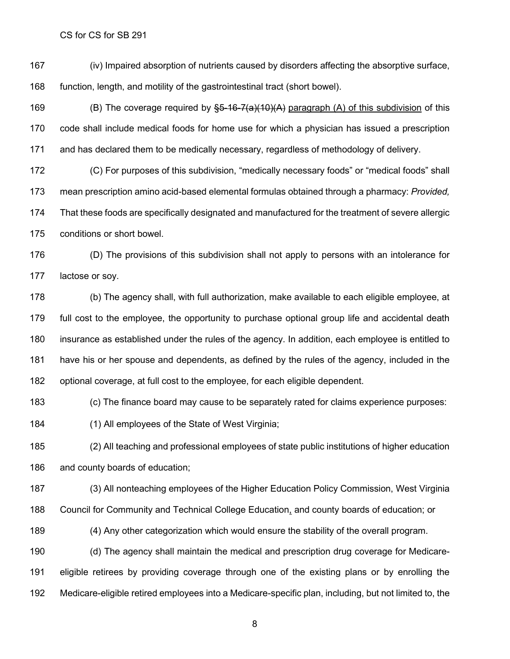(iv) Impaired absorption of nutrients caused by disorders affecting the absorptive surface, function, length, and motility of the gastrointestinal tract (short bowel).

169 (B) The coverage required by  $\S5-16-7(a)(10)(A)$  paragraph (A) of this subdivision of this code shall include medical foods for home use for which a physician has issued a prescription and has declared them to be medically necessary, regardless of methodology of delivery.

 (C) For purposes of this subdivision, "medically necessary foods" or "medical foods" shall mean prescription amino acid-based elemental formulas obtained through a pharmacy: *Provided,* That these foods are specifically designated and manufactured for the treatment of severe allergic conditions or short bowel.

 (D) The provisions of this subdivision shall not apply to persons with an intolerance for lactose or soy.

 (b) The agency shall, with full authorization, make available to each eligible employee, at full cost to the employee, the opportunity to purchase optional group life and accidental death insurance as established under the rules of the agency. In addition, each employee is entitled to have his or her spouse and dependents, as defined by the rules of the agency, included in the optional coverage, at full cost to the employee, for each eligible dependent.

(c) The finance board may cause to be separately rated for claims experience purposes:

(1) All employees of the State of West Virginia;

 (2) All teaching and professional employees of state public institutions of higher education and county boards of education;

 (3) All nonteaching employees of the Higher Education Policy Commission, West Virginia Council for Community and Technical College Education, and county boards of education; or

(4) Any other categorization which would ensure the stability of the overall program.

 (d) The agency shall maintain the medical and prescription drug coverage for Medicare- eligible retirees by providing coverage through one of the existing plans or by enrolling the Medicare-eligible retired employees into a Medicare-specific plan, including, but not limited to, the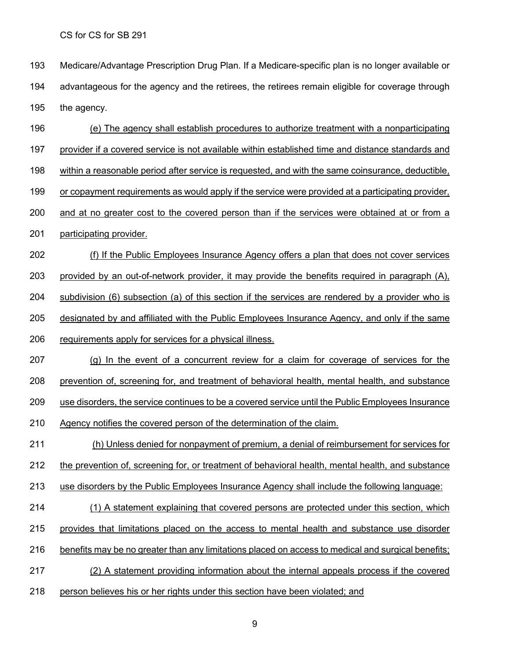- Medicare/Advantage Prescription Drug Plan. If a Medicare-specific plan is no longer available or advantageous for the agency and the retirees, the retirees remain eligible for coverage through the agency.
- (e) The agency shall establish procedures to authorize treatment with a nonparticipating provider if a covered service is not available within established time and distance standards and within a reasonable period after service is requested, and with the same coinsurance, deductible, 199 or copayment requirements as would apply if the service were provided at a participating provider, and at no greater cost to the covered person than if the services were obtained at or from a participating provider. (f) If the Public Employees Insurance Agency offers a plan that does not cover services provided by an out-of-network provider, it may provide the benefits required in paragraph (A), subdivision (6) subsection (a) of this section if the services are rendered by a provider who is
- designated by and affiliated with the Public Employees Insurance Agency, and only if the same
- requirements apply for services for a physical illness.
- (g) In the event of a concurrent review for a claim for coverage of services for the prevention of, screening for, and treatment of behavioral health, mental health, and substance use disorders, the service continues to be a covered service until the Public Employees Insurance Agency notifies the covered person of the determination of the claim.
- (h) Unless denied for nonpayment of premium, a denial of reimbursement for services for the prevention of, screening for, or treatment of behavioral health, mental health, and substance
- use disorders by the Public Employees Insurance Agency shall include the following language:
- (1) A statement explaining that covered persons are protected under this section, which
- provides that limitations placed on the access to mental health and substance use disorder
- benefits may be no greater than any limitations placed on access to medical and surgical benefits;
- (2) A statement providing information about the internal appeals process if the covered
- person believes his or her rights under this section have been violated; and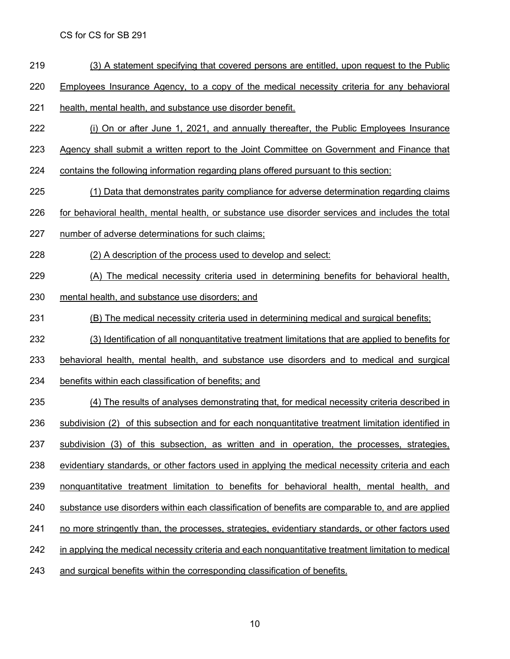- (3) A statement specifying that covered persons are entitled, upon request to the Public
- 220 Employees Insurance Agency, to a copy of the medical necessity criteria for any behavioral
- health, mental health, and substance use disorder benefit.
- (i) On or after June 1, 2021, and annually thereafter, the Public Employees Insurance
- Agency shall submit a written report to the Joint Committee on Government and Finance that
- contains the following information regarding plans offered pursuant to this section:
- (1) Data that demonstrates parity compliance for adverse determination regarding claims
- for behavioral health, mental health, or substance use disorder services and includes the total
- number of adverse determinations for such claims;
- (2) A description of the process used to develop and select:
- (A) The medical necessity criteria used in determining benefits for behavioral health,
- mental health, and substance use disorders; and
- (B) The medical necessity criteria used in determining medical and surgical benefits;
- (3) Identification of all nonquantitative treatment limitations that are applied to benefits for
- behavioral health, mental health, and substance use disorders and to medical and surgical
- benefits within each classification of benefits; and
- (4) The results of analyses demonstrating that, for medical necessity criteria described in subdivision (2) of this subsection and for each nonquantitative treatment limitation identified in 237 subdivision (3) of this subsection, as written and in operation, the processes, strategies, evidentiary standards, or other factors used in applying the medical necessity criteria and each nonquantitative treatment limitation to benefits for behavioral health, mental health, and 240 substance use disorders within each classification of benefits are comparable to, and are applied no more stringently than, the processes, strategies, evidentiary standards, or other factors used in applying the medical necessity criteria and each nonquantitative treatment limitation to medical 243 and surgical benefits within the corresponding classification of benefits.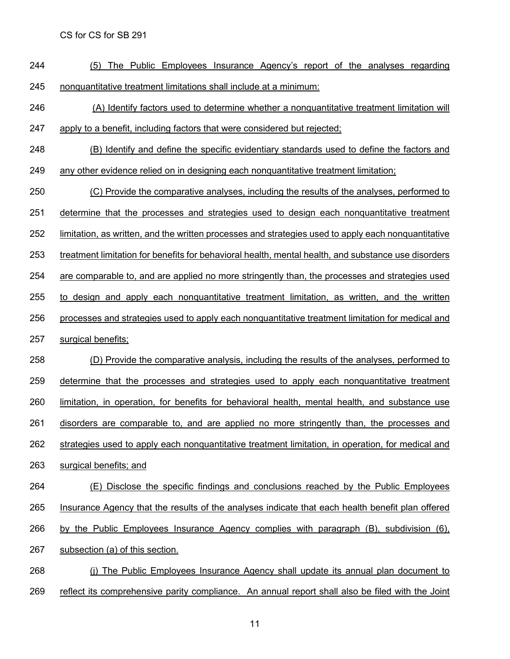- (5) The Public Employees Insurance Agency's report of the analyses regarding nonquantitative treatment limitations shall include at a minimum:
- (A) Identify factors used to determine whether a nonquantitative treatment limitation will apply to a benefit, including factors that were considered but rejected;
- (B) Identify and define the specific evidentiary standards used to define the factors and
- any other evidence relied on in designing each nonquantitative treatment limitation;

(C) Provide the comparative analyses, including the results of the analyses, performed to

determine that the processes and strategies used to design each nonquantitative treatment

limitation, as written, and the written processes and strategies used to apply each nonquantitative

treatment limitation for benefits for behavioral health, mental health, and substance use disorders

are comparable to, and are applied no more stringently than, the processes and strategies used

to design and apply each nonquantitative treatment limitation, as written, and the written

- processes and strategies used to apply each nonquantitative treatment limitation for medical and
- surgical benefits;

 (D) Provide the comparative analysis, including the results of the analyses, performed to determine that the processes and strategies used to apply each nonquantitative treatment limitation, in operation, for benefits for behavioral health, mental health, and substance use disorders are comparable to, and are applied no more stringently than, the processes and strategies used to apply each nonquantitative treatment limitation, in operation, for medical and surgical benefits; and

- (E) Disclose the specific findings and conclusions reached by the Public Employees Insurance Agency that the results of the analyses indicate that each health benefit plan offered by the Public Employees Insurance Agency complies with paragraph (B), subdivision (6),
- subsection (a) of this section.
- (j) The Public Employees Insurance Agency shall update its annual plan document to 269 reflect its comprehensive parity compliance. An annual report shall also be filed with the Joint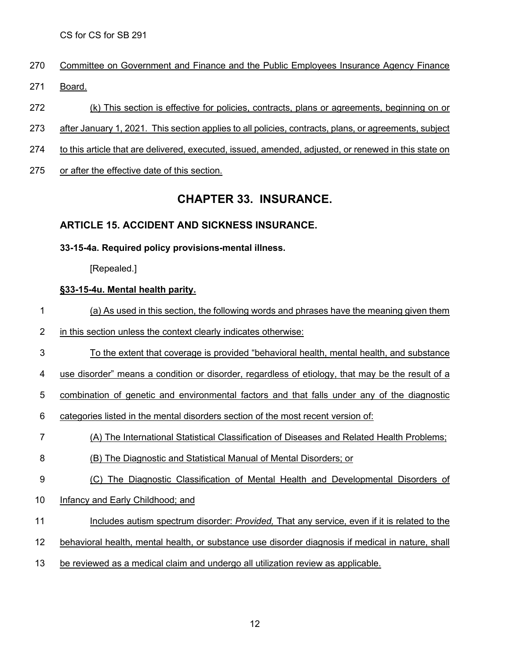- Committee on Government and Finance and the Public Employees Insurance Agency Finance
- Board.
- (k) This section is effective for policies, contracts, plans or agreements, beginning on or
- after January 1, 2021. This section applies to all policies, contracts, plans, or agreements, subject
- to this article that are delivered, executed, issued, amended, adjusted, or renewed in this state on
- or after the effective date of this section.

## **CHAPTER 33. INSURANCE.**

## **ARTICLE 15. ACCIDENT AND SICKNESS [INSURANCE.](http://code.wvlegislature.gov/33-15/)**

#### **33-15-4a. Required policy provisions-mental illness.**

[Repealed.]

#### **§33-15-4u. Mental health parity.**

- (a) As used in this section, the following words and phrases have the meaning given them
- in this section unless the context clearly indicates otherwise:
- To the extent that coverage is provided "behavioral health, mental health, and substance
- use disorder" means a condition or disorder, regardless of etiology, that may be the result of a

combination of genetic and environmental factors and that falls under any of the diagnostic

- 6 categories listed in the mental disorders section of the most recent version of:
- (A) The International Statistical Classification of Diseases and Related Health Problems;
- (B) The Diagnostic and Statistical Manual of Mental Disorders; or
- (C) The Diagnostic Classification of Mental Health and Developmental Disorders of
- Infancy and Early Childhood; and
- Includes autism spectrum disorder: *Provided,* That any service, even if it is related to the
- behavioral health, mental health, or substance use disorder diagnosis if medical in nature, shall
- be reviewed as a medical claim and undergo all utilization review as applicable.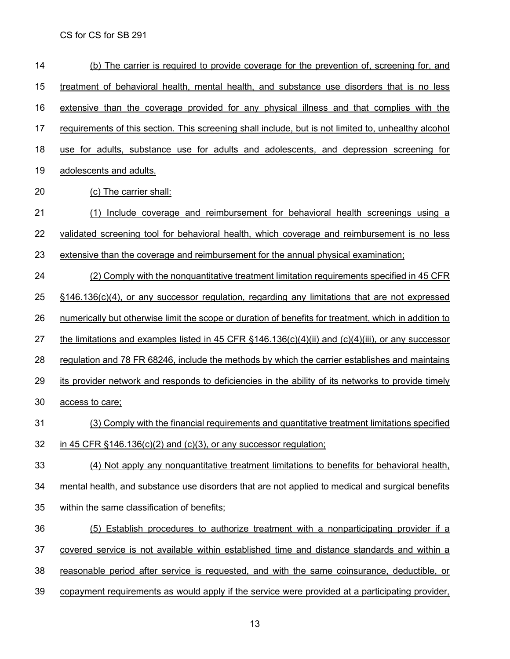| 14 | (b) The carrier is required to provide coverage for the prevention of, screening for, and                 |
|----|-----------------------------------------------------------------------------------------------------------|
| 15 | treatment of behavioral health, mental health, and substance use disorders that is no less                |
| 16 | extensive than the coverage provided for any physical illness and that complies with the                  |
| 17 | requirements of this section. This screening shall include, but is not limited to, unhealthy alcohol      |
| 18 | use for adults, substance use for adults and adolescents, and depression screening for                    |
| 19 | adolescents and adults.                                                                                   |
| 20 | (c) The carrier shall:                                                                                    |
| 21 | Include coverage and reimbursement for behavioral health screenings using a<br>(1)                        |
| 22 | validated screening tool for behavioral health, which coverage and reimbursement is no less               |
| 23 | extensive than the coverage and reimbursement for the annual physical examination;                        |
| 24 | (2) Comply with the nonquantitative treatment limitation requirements specified in 45 CFR                 |
| 25 | §146.136(c)(4), or any successor regulation, regarding any limitations that are not expressed             |
| 26 | numerically but otherwise limit the scope or duration of benefits for treatment, which in addition to     |
| 27 | the limitations and examples listed in 45 CFR $\S 146.136(c)(4)(ii)$ and $(c)(4)(iii)$ , or any successor |
| 28 | regulation and 78 FR 68246, include the methods by which the carrier establishes and maintains            |
| 29 | its provider network and responds to deficiencies in the ability of its networks to provide timely        |
| 30 | access to care;                                                                                           |
| 31 | (3) Comply with the financial requirements and quantitative treatment limitations specified               |
| 32 | in 45 CFR $§146.136(c)(2)$ and $(c)(3)$ , or any successor regulation;                                    |
| 33 | (4) Not apply any nonquantitative treatment limitations to benefits for behavioral health,                |
| 34 | mental health, and substance use disorders that are not applied to medical and surgical benefits          |
| 35 | within the same classification of benefits;                                                               |
| 36 | (5) Establish procedures to authorize treatment with a nonparticipating provider if a                     |
| 37 | covered service is not available within established time and distance standards and within a              |
| 38 | reasonable period after service is requested, and with the same coinsurance, deductible, or               |
| 39 | copayment requirements as would apply if the service were provided at a participating provider,           |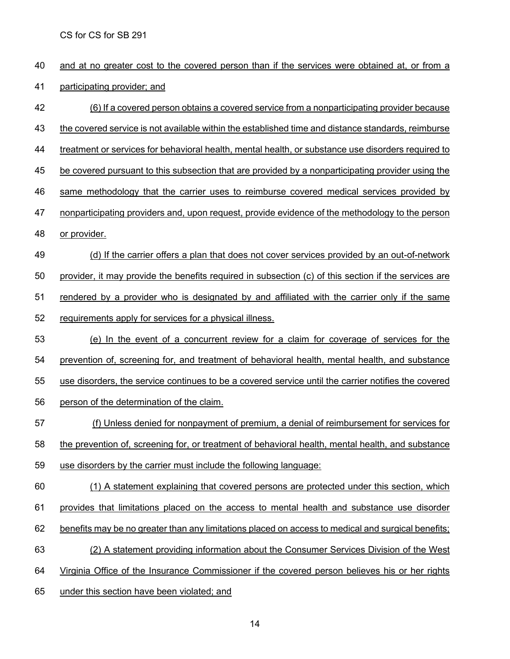| 40 | and at no greater cost to the covered person than if the services were obtained at, or from a        |
|----|------------------------------------------------------------------------------------------------------|
| 41 | participating provider; and                                                                          |
| 42 | (6) If a covered person obtains a covered service from a nonparticipating provider because           |
| 43 | the covered service is not available within the established time and distance standards, reimburse   |
| 44 | treatment or services for behavioral health, mental health, or substance use disorders required to   |
| 45 | be covered pursuant to this subsection that are provided by a nonparticipating provider using the    |
| 46 | same methodology that the carrier uses to reimburse covered medical services provided by             |
| 47 | nonparticipating providers and, upon request, provide evidence of the methodology to the person      |
| 48 | or provider.                                                                                         |
| 49 | (d) If the carrier offers a plan that does not cover services provided by an out-of-network          |
| 50 | provider, it may provide the benefits required in subsection (c) of this section if the services are |
| 51 | rendered by a provider who is designated by and affiliated with the carrier only if the same         |
| 52 | requirements apply for services for a physical illness.                                              |
| 53 | (e) In the event of a concurrent review for a claim for coverage of services for the                 |
| 54 | prevention of, screening for, and treatment of behavioral health, mental health, and substance       |
| 55 | use disorders, the service continues to be a covered service until the carrier notifies the covered  |
| 56 | person of the determination of the claim.                                                            |
| 57 | (f) Unless denied for nonpayment of premium, a denial of reimbursement for services for              |
| 58 | the prevention of, screening for, or treatment of behavioral health, mental health, and substance    |
| 59 | use disorders by the carrier must include the following language:                                    |
| 60 | (1) A statement explaining that covered persons are protected under this section, which              |
| 61 | provides that limitations placed on the access to mental health and substance use disorder           |
| 62 | benefits may be no greater than any limitations placed on access to medical and surgical benefits;   |
| 63 | (2) A statement providing information about the Consumer Services Division of the West               |
| 64 | Virginia Office of the Insurance Commissioner if the covered person believes his or her rights       |
| 65 | under this section have been violated; and                                                           |
|    |                                                                                                      |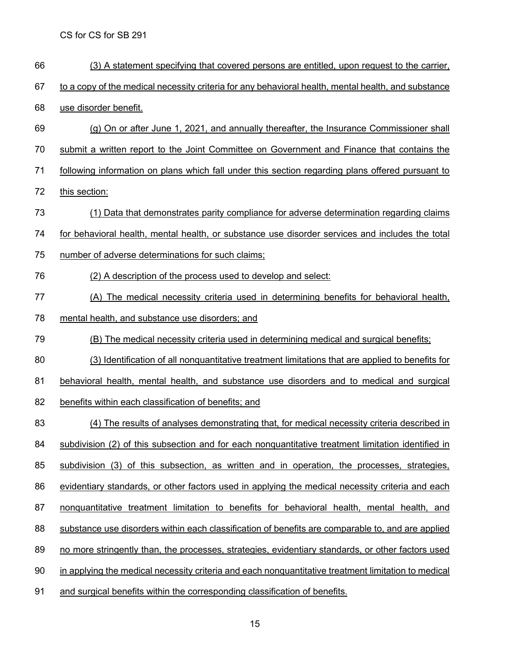(3) A statement specifying that covered persons are entitled, upon request to the carrier, 67 to a copy of the medical necessity criteria for any behavioral health, mental health, and substance use disorder benefit. (g) On or after June 1, 2021, and annually thereafter, the Insurance Commissioner shall submit a written report to the Joint Committee on Government and Finance that contains the following information on plans which fall under this section regarding plans offered pursuant to this section: (1) Data that demonstrates parity compliance for adverse determination regarding claims for behavioral health, mental health, or substance use disorder services and includes the total number of adverse determinations for such claims; (2) A description of the process used to develop and select: (A) The medical necessity criteria used in determining benefits for behavioral health, mental health, and substance use disorders; and (B) The medical necessity criteria used in determining medical and surgical benefits; (3) Identification of all nonquantitative treatment limitations that are applied to benefits for behavioral health, mental health, and substance use disorders and to medical and surgical 82 benefits within each classification of benefits; and (4) The results of analyses demonstrating that, for medical necessity criteria described in subdivision (2) of this subsection and for each nonquantitative treatment limitation identified in subdivision (3) of this subsection, as written and in operation, the processes, strategies, evidentiary standards, or other factors used in applying the medical necessity criteria and each 87 nonquantitative treatment limitation to benefits for behavioral health, mental health, and substance use disorders within each classification of benefits are comparable to, and are applied no more stringently than, the processes, strategies, evidentiary standards, or other factors used in applying the medical necessity criteria and each nonquantitative treatment limitation to medical and surgical benefits within the corresponding classification of benefits.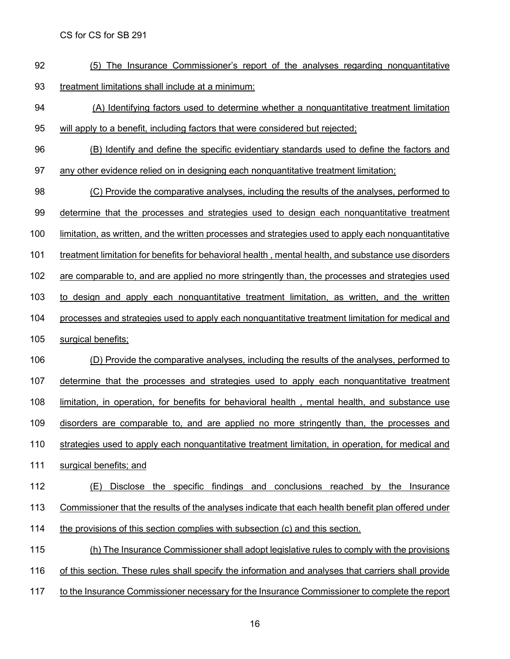- (5) The Insurance Commissioner's report of the analyses regarding nonquantitative treatment limitations shall include at a minimum:
- (A) Identifying factors used to determine whether a nonquantitative treatment limitation will apply to a benefit, including factors that were considered but rejected;
- (B) Identify and define the specific evidentiary standards used to define the factors and
- any other evidence relied on in designing each nonquantitative treatment limitation;

 (C) Provide the comparative analyses, including the results of the analyses, performed to determine that the processes and strategies used to design each nonquantitative treatment limitation, as written, and the written processes and strategies used to apply each nonquantitative

treatment limitation for benefits for behavioral health , mental health, and substance use disorders

are comparable to, and are applied no more stringently than, the processes and strategies used

to design and apply each nonquantitative treatment limitation, as written, and the written

- processes and strategies used to apply each nonquantitative treatment limitation for medical and
- surgical benefits;

 (D) Provide the comparative analyses, including the results of the analyses, performed to determine that the processes and strategies used to apply each nonquantitative treatment limitation, in operation, for benefits for behavioral health , mental health, and substance use disorders are comparable to, and are applied no more stringently than, the processes and strategies used to apply each nonquantitative treatment limitation, in operation, for medical and surgical benefits; and

 (E) Disclose the specific findings and conclusions reached by the Insurance 113 Commissioner that the results of the analyses indicate that each health benefit plan offered under the provisions of this section complies with subsection (c) and this section.

 (h) The Insurance Commissioner shall adopt legislative rules to comply with the provisions of this section. These rules shall specify the information and analyses that carriers shall provide to the Insurance Commissioner necessary for the Insurance Commissioner to complete the report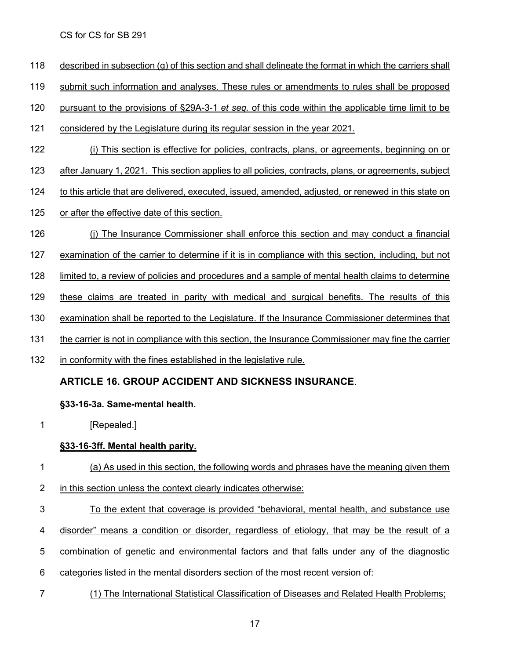- described in subsection (g) of this section and shall delineate the format in which the carriers shall
- submit such information and analyses. These rules or amendments to rules shall be proposed
- pursuant to the provisions of §29A-3-1 *et seq.* of this code within the applicable time limit to be
- considered by the Legislature during its regular session in the year 2021.
- (i) This section is effective for policies, contracts, plans, or agreements, beginning on or
- after January 1, 2021. This section applies to all policies, contracts, plans, or agreements, subject
- 124 to this article that are delivered, executed, issued, amended, adjusted, or renewed in this state on
- or after the effective date of this section.
- (j) The Insurance Commissioner shall enforce this section and may conduct a financial
- examination of the carrier to determine if it is in compliance with this section, including, but not
- limited to, a review of policies and procedures and a sample of mental health claims to determine
- 129 these claims are treated in parity with medical and surgical benefits. The results of this
- examination shall be reported to the Legislature. If the Insurance Commissioner determines that
- the carrier is not in compliance with this section, the Insurance Commissioner may fine the carrier
- in conformity with the fines established in the legislative rule.

## **ARTICLE 16. GROUP ACCIDENT AND SICKNESS [INSURANCE](http://code.wvlegislature.gov/33-16/)**.

### **§33-16-3a. Same-mental health.**

1 [Repealed.]

### **§33-16-3ff. Mental health parity.**

- (a) As used in this section, the following words and phrases have the meaning given them
- in this section unless the context clearly indicates otherwise:
- To the extent that coverage is provided "behavioral, mental health, and substance use
- 4 disorder" means a condition or disorder, regardless of etiology, that may be the result of a
- combination of genetic and environmental factors and that falls under any of the diagnostic
- categories listed in the mental disorders section of the most recent version of:
- (1) The International Statistical Classification of Diseases and Related Health Problems;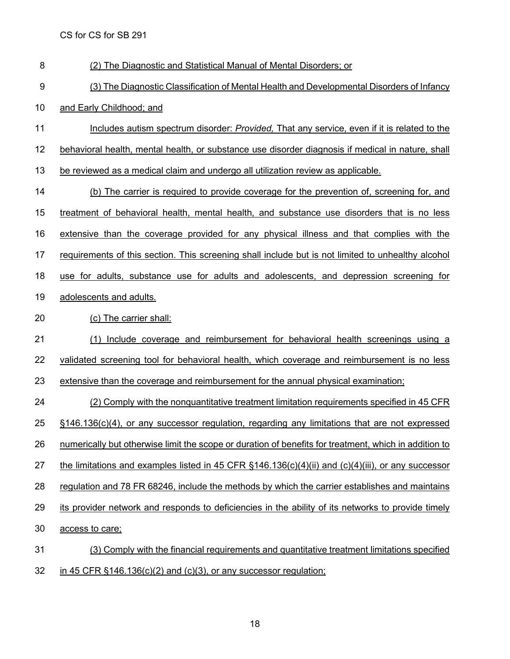| 8  | (2) The Diagnostic and Statistical Manual of Mental Disorders; or                                         |
|----|-----------------------------------------------------------------------------------------------------------|
| 9  | (3) The Diagnostic Classification of Mental Health and Developmental Disorders of Infancy                 |
| 10 | and Early Childhood; and                                                                                  |
| 11 | Includes autism spectrum disorder: Provided, That any service, even if it is related to the               |
| 12 | behavioral health, mental health, or substance use disorder diagnosis if medical in nature, shall         |
| 13 | be reviewed as a medical claim and undergo all utilization review as applicable.                          |
| 14 | (b) The carrier is required to provide coverage for the prevention of, screening for, and                 |
| 15 | treatment of behavioral health, mental health, and substance use disorders that is no less                |
| 16 | extensive than the coverage provided for any physical illness and that complies with the                  |
| 17 | requirements of this section. This screening shall include but is not limited to unhealthy alcohol        |
| 18 | use for adults, substance use for adults and adolescents, and depression screening for                    |
| 19 | adolescents and adults.                                                                                   |
| 20 | (c) The carrier shall:                                                                                    |
| 21 | Include coverage and reimbursement for behavioral health screenings using a<br>(1)                        |
| 22 | validated screening tool for behavioral health, which coverage and reimbursement is no less               |
| 23 | extensive than the coverage and reimbursement for the annual physical examination;                        |
| 24 | (2) Comply with the nonquantitative treatment limitation requirements specified in 45 CFR                 |
| 25 | $\S$ 146.136(c)(4), or any successor regulation, regarding any limitations that are not expressed         |
| 26 | numerically but otherwise limit the scope or duration of benefits for treatment, which in addition to     |
| 27 | the limitations and examples listed in 45 CFR $\S 146.136(c)(4)(ii)$ and $(c)(4)(iii)$ , or any successor |
| 28 | regulation and 78 FR 68246, include the methods by which the carrier establishes and maintains            |
| 29 | its provider network and responds to deficiencies in the ability of its networks to provide timely        |
| 30 | access to care;                                                                                           |
| 31 | (3) Comply with the financial requirements and quantitative treatment limitations specified               |
| 32 | in 45 CFR $§146.136(c)(2)$ and $(c)(3)$ , or any successor regulation;                                    |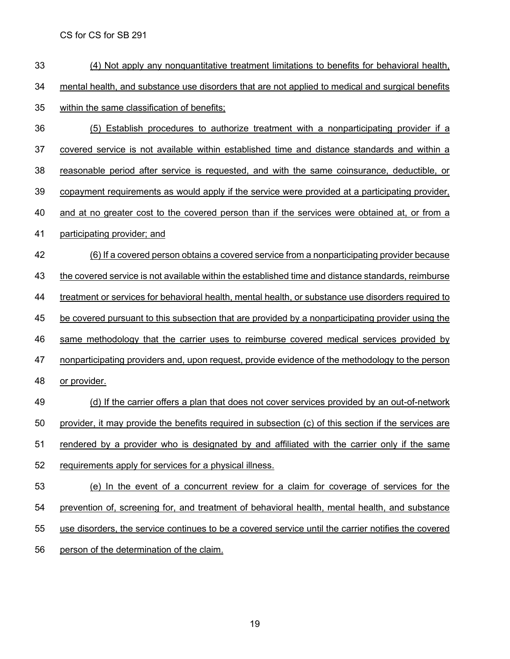- (4) Not apply any nonquantitative treatment limitations to benefits for behavioral health, mental health, and substance use disorders that are not applied to medical and surgical benefits within the same classification of benefits; (5) Establish procedures to authorize treatment with a nonparticipating provider if a covered service is not available within established time and distance standards and within a reasonable period after service is requested, and with the same coinsurance, deductible, or copayment requirements as would apply if the service were provided at a participating provider, and at no greater cost to the covered person than if the services were obtained at, or from a participating provider; and (6) If a covered person obtains a covered service from a nonparticipating provider because the covered service is not available within the established time and distance standards, reimburse treatment or services for behavioral health, mental health, or substance use disorders required to be covered pursuant to this subsection that are provided by a nonparticipating provider using the same methodology that the carrier uses to reimburse covered medical services provided by 47 nonparticipating providers and, upon request, provide evidence of the methodology to the person or provider. 49 (d) If the carrier offers a plan that does not cover services provided by an out-of-network provider, it may provide the benefits required in subsection (c) of this section if the services are rendered by a provider who is designated by and affiliated with the carrier only if the same
- requirements apply for services for a physical illness.
- (e) In the event of a concurrent review for a claim for coverage of services for the prevention of, screening for, and treatment of behavioral health, mental health, and substance use disorders, the service continues to be a covered service until the carrier notifies the covered person of the determination of the claim.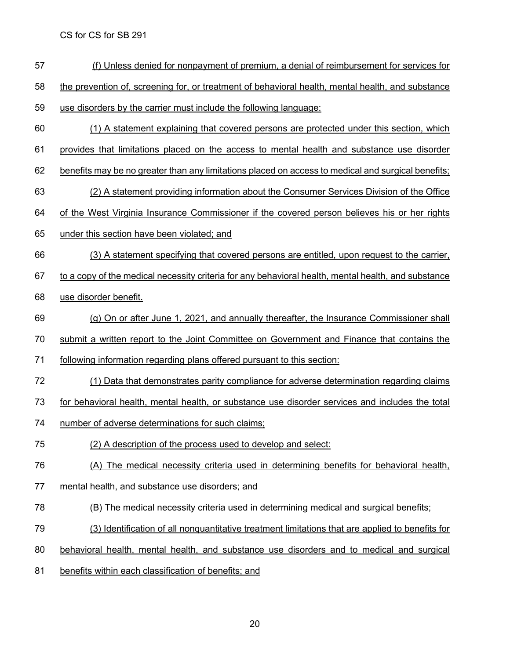- (f) Unless denied for nonpayment of premium, a denial of reimbursement for services for
- 58 the prevention of, screening for, or treatment of behavioral health, mental health, and substance
- use disorders by the carrier must include the following language:
- (1) A statement explaining that covered persons are protected under this section, which
- provides that limitations placed on the access to mental health and substance use disorder
- benefits may be no greater than any limitations placed on access to medical and surgical benefits;
- (2) A statement providing information about the Consumer Services Division of the Office
- of the West Virginia Insurance Commissioner if the covered person believes his or her rights
- under this section have been violated; and
- (3) A statement specifying that covered persons are entitled, upon request to the carrier,
- to a copy of the medical necessity criteria for any behavioral health, mental health, and substance
- use disorder benefit.
- (g) On or after June 1, 2021, and annually thereafter, the Insurance Commissioner shall
- submit a written report to the Joint Committee on Government and Finance that contains the
- following information regarding plans offered pursuant to this section:
- (1) Data that demonstrates parity compliance for adverse determination regarding claims
- for behavioral health, mental health, or substance use disorder services and includes the total
- number of adverse determinations for such claims;
- (2) A description of the process used to develop and select:
- 76 (A) The medical necessity criteria used in determining benefits for behavioral health,
- mental health, and substance use disorders; and
- (B) The medical necessity criteria used in determining medical and surgical benefits;
- (3) Identification of all nonquantitative treatment limitations that are applied to benefits for
- behavioral health, mental health, and substance use disorders and to medical and surgical
- benefits within each classification of benefits; and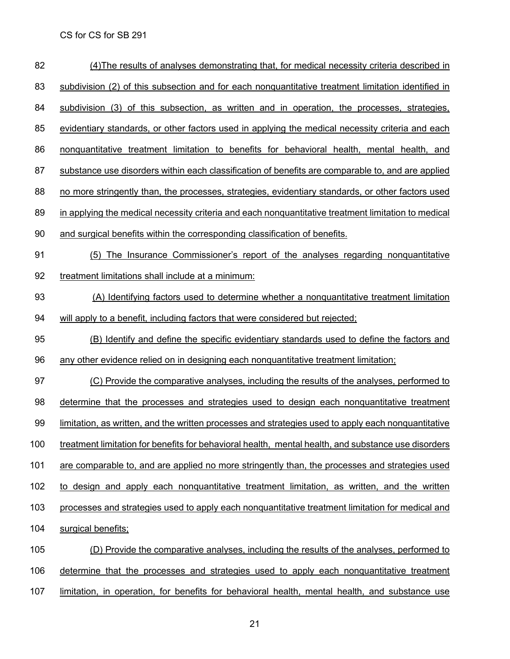| 82  | (4) The results of analyses demonstrating that, for medical necessity criteria described in         |
|-----|-----------------------------------------------------------------------------------------------------|
| 83  | subdivision (2) of this subsection and for each nonquantitative treatment limitation identified in  |
| 84  | subdivision (3) of this subsection, as written and in operation, the processes, strategies,         |
| 85  | evidentiary standards, or other factors used in applying the medical necessity criteria and each    |
| 86  | nonquantitative treatment limitation to benefits for behavioral health, mental health, and          |
| 87  | substance use disorders within each classification of benefits are comparable to, and are applied   |
| 88  | no more stringently than, the processes, strategies, evidentiary standards, or other factors used   |
| 89  | in applying the medical necessity criteria and each nonquantitative treatment limitation to medical |
| 90  | and surgical benefits within the corresponding classification of benefits.                          |
| 91  | (5) The Insurance Commissioner's report of the analyses regarding nonquantitative                   |
| 92  | treatment limitations shall include at a minimum:                                                   |
| 93  | (A) Identifying factors used to determine whether a nonquantitative treatment limitation            |
| 94  | will apply to a benefit, including factors that were considered but rejected;                       |
| 95  | (B) Identify and define the specific evidentiary standards used to define the factors and           |
| 96  | any other evidence relied on in designing each nonquantitative treatment limitation;                |
| 97  | (C) Provide the comparative analyses, including the results of the analyses, performed to           |
| 98  | determine that the processes and strategies used to design each nonquantitative treatment           |
| 99  | limitation, as written, and the written processes and strategies used to apply each nonquantitative |
| 100 | treatment limitation for benefits for behavioral health, mental health, and substance use disorders |
| 101 | are comparable to, and are applied no more stringently than, the processes and strategies used      |
| 102 | to design and apply each nonquantitative treatment limitation, as written, and the written          |
| 103 | processes and strategies used to apply each nonquantitative treatment limitation for medical and    |
| 104 | surgical benefits;                                                                                  |
| 105 | (D) Provide the comparative analyses, including the results of the analyses, performed to           |
| 106 | determine that the processes and strategies used to apply each nonquantitative treatment            |
| 107 | limitation, in operation, for benefits for behavioral health, mental health, and substance use      |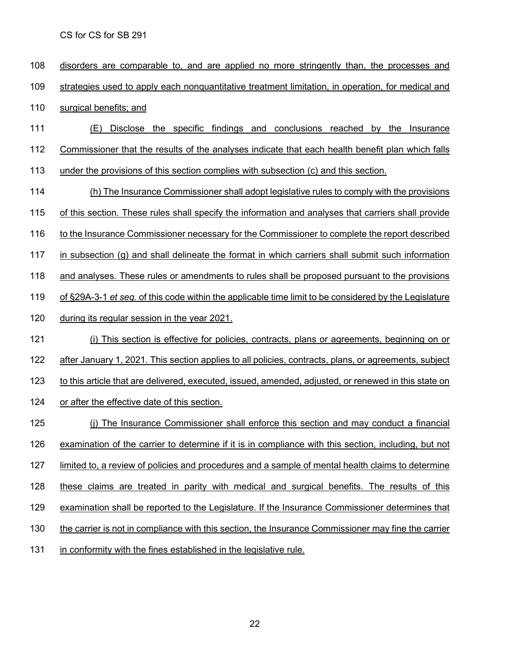disorders are comparable to, and are applied no more stringently than, the processes and strategies used to apply each nonquantitative treatment limitation, in operation, for medical and surgical benefits; and (E) Disclose the specific findings and conclusions reached by the Insurance Commissioner that the results of the analyses indicate that each health benefit plan which falls under the provisions of this section complies with subsection (c) and this section. (h) The Insurance Commissioner shall adopt legislative rules to comply with the provisions of this section. These rules shall specify the information and analyses that carriers shall provide 116 to the Insurance Commissioner necessary for the Commissioner to complete the report described in subsection (g) and shall delineate the format in which carriers shall submit such information and analyses. These rules or amendments to rules shall be proposed pursuant to the provisions of §29A-3-1 *et seq.* of this code within the applicable time limit to be considered by the Legislature during its regular session in the year 2021. (i) This section is effective for policies, contracts, plans or agreements, beginning on or 122 after January 1, 2021. This section applies to all policies, contracts, plans, or agreements, subject to this article that are delivered, executed, issued, amended, adjusted, or renewed in this state on 124 or after the effective date of this section. (j) The Insurance Commissioner shall enforce this section and may conduct a financial examination of the carrier to determine if it is in compliance with this section, including, but not limited to, a review of policies and procedures and a sample of mental health claims to determine these claims are treated in parity with medical and surgical benefits. The results of this 129 examination shall be reported to the Legislature. If the Insurance Commissioner determines that the carrier is not in compliance with this section, the Insurance Commissioner may fine the carrier in conformity with the fines established in the legislative rule.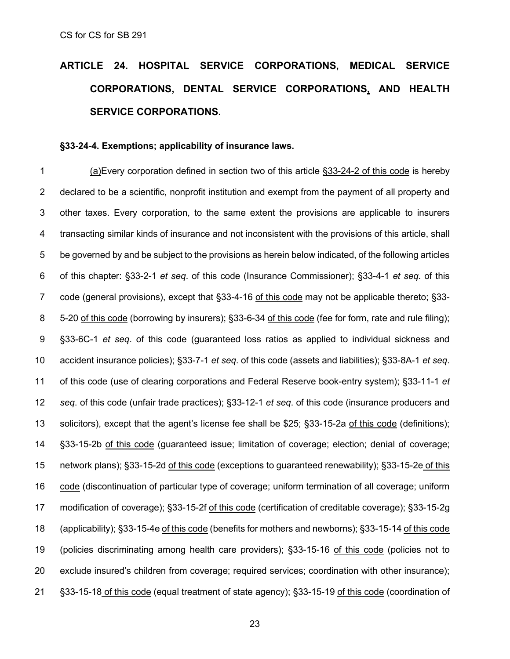# **ARTICLE 24. HOSPITAL SERVICE [CORPORATIONS,](http://code.wvlegislature.gov/33-24/) MEDICAL SERVICE [CORPORATIONS,](http://code.wvlegislature.gov/33-24/) DENTAL SERVICE CORPORATIONS, AND HEALTH SERVICE [CORPORATIONS.](http://code.wvlegislature.gov/33-24/)**

#### **§33-24-4. Exemptions; applicability of insurance laws.**

 (a)Every corporation defined in section two of this article §33-24-2 of this code is hereby declared to be a scientific, nonprofit institution and exempt from the payment of all property and other taxes. Every corporation, to the same extent the provisions are applicable to insurers transacting similar kinds of insurance and not inconsistent with the provisions of this article, shall be governed by and be subject to the provisions as herein below indicated, of the following articles of this chapter: §33-2-1 *et seq*. of this code (Insurance Commissioner); §33-4-1 *et seq*. of this 7 code (general provisions), except that §33-4-16 of this code may not be applicable thereto; §33- 5-20 of this code (borrowing by insurers); §33-6-34 of this code (fee for form, rate and rule filing); §33-6C-1 *et seq*. of this code (guaranteed loss ratios as applied to individual sickness and accident insurance policies); §33-7-1 *et seq*. of this code (assets and liabilities); §33-8A-1 *et seq*. of this code (use of clearing corporations and Federal Reserve book-entry system); §33-11-1 *et seq*. of this code (unfair trade practices); §33-12-1 *et seq*. of this code (insurance producers and solicitors), except that the agent's license fee shall be \$25; §33-15-2a of this code (definitions); §33-15-2b of this code (guaranteed issue; limitation of coverage; election; denial of coverage; 15 network plans); §33-15-2d of this code (exceptions to guaranteed renewability); §33-15-2e of this code (discontinuation of particular type of coverage; uniform termination of all coverage; uniform modification of coverage); §33-15-2f of this code (certification of creditable coverage); §33-15-2g (applicability); §33-15-4e of this code (benefits for mothers and newborns); §33-15-14 of this code (policies discriminating among health care providers); §33-15-16 of this code (policies not to exclude insured's children from coverage; required services; coordination with other insurance); §33-15-18 of this code (equal treatment of state agency); §33-15-19 of this code (coordination of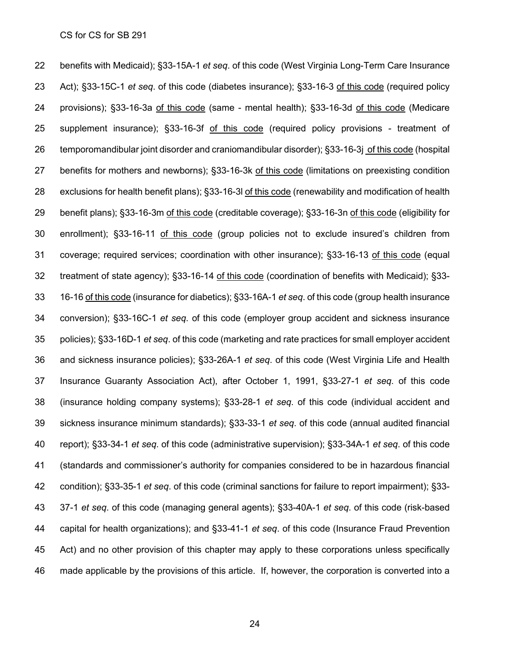benefits with Medicaid); §33-15A-1 *et seq*. of this code (West Virginia Long-Term Care Insurance Act); §33-15C-1 *et seq*. of this code (diabetes insurance); §33-16-3 of this code (required policy 24 provisions); §33-16-3a of this code (same - mental health); §33-16-3d of this code (Medicare supplement insurance); §33-16-3f of this code (required policy provisions - treatment of temporomandibular joint disorder and craniomandibular disorder); §33-16-3j of this code (hospital benefits for mothers and newborns); §33-16-3k of this code (limitations on preexisting condition 28 exclusions for health benefit plans); §33-16-3l of this code (renewability and modification of health benefit plans); §33-16-3m of this code (creditable coverage); §33-16-3n of this code (eligibility for enrollment); §33-16-11 of this code (group policies not to exclude insured's children from coverage; required services; coordination with other insurance); §33-16-13 of this code (equal treatment of state agency); §33-16-14 of this code (coordination of benefits with Medicaid); §33- 16-16 of this code (insurance for diabetics); §33-16A-1 *et seq*. of this code (group health insurance conversion); §33-16C-1 *et seq*. of this code (employer group accident and sickness insurance policies); §33-16D-1 *et seq*. of this code (marketing and rate practices for small employer accident and sickness insurance policies); §33-26A-1 *et seq*. of this code (West Virginia Life and Health Insurance Guaranty Association Act), after October 1, 1991, §33-27-1 *et seq*. of this code (insurance holding company systems); §33-28-1 *et seq*. of this code (individual accident and sickness insurance minimum standards); §33-33-1 *et seq*. of this code (annual audited financial report); §33-34-1 *et seq*. of this code (administrative supervision); §33-34A-1 *et seq*. of this code (standards and commissioner's authority for companies considered to be in hazardous financial condition); §33-35-1 *et seq*. of this code (criminal sanctions for failure to report impairment); §33- 37-1 *et seq*. of this code (managing general agents); §33-40A-1 *et seq*. of this code (risk-based capital for health organizations); and §33-41-1 *et seq*. of this code (Insurance Fraud Prevention Act) and no other provision of this chapter may apply to these corporations unless specifically made applicable by the provisions of this article. If, however, the corporation is converted into a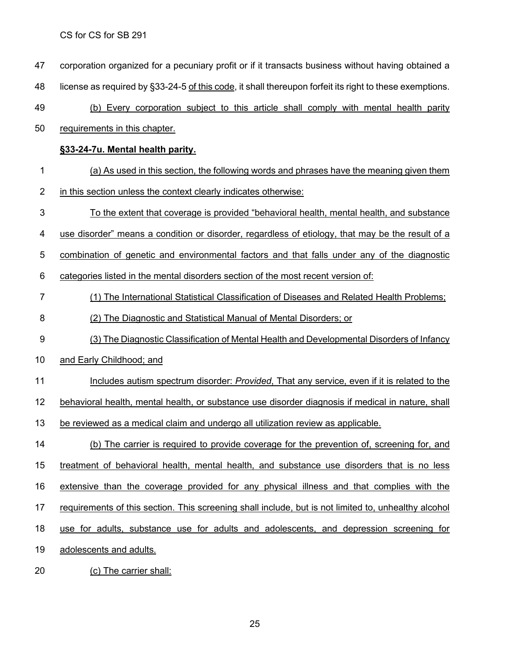corporation organized for a pecuniary profit or if it transacts business without having obtained a

48 license as required by §33-24-5 of this code, it shall thereupon forfeit its right to these exemptions.

- (b) Every corporation subject to this article shall comply with mental health parity
- requirements in this chapter.

#### **§33-24-7u. Mental health parity.**

- (a) As used in this section, the following words and phrases have the meaning given them
- 2 in this section unless the context clearly indicates otherwise:
- To the extent that coverage is provided "behavioral health, mental health, and substance
- use disorder" means a condition or disorder, regardless of etiology, that may be the result of a
- combination of genetic and environmental factors and that falls under any of the diagnostic

categories listed in the mental disorders section of the most recent version of:

- (1) The International Statistical Classification of Diseases and Related Health Problems;
- (2) The Diagnostic and Statistical Manual of Mental Disorders; or
- (3) The Diagnostic Classification of Mental Health and Developmental Disorders of Infancy
- 10 and Early Childhood; and
- Includes autism spectrum disorder: *Provided*, That any service, even if it is related to the

behavioral health, mental health, or substance use disorder diagnosis if medical in nature, shall

- be reviewed as a medical claim and undergo all utilization review as applicable.
- (b) The carrier is required to provide coverage for the prevention of, screening for, and treatment of behavioral health, mental health, and substance use disorders that is no less extensive than the coverage provided for any physical illness and that complies with the 17 requirements of this section. This screening shall include, but is not limited to, unhealthy alcohol use for adults, substance use for adults and adolescents, and depression screening for adolescents and adults.
- (c) The carrier shall: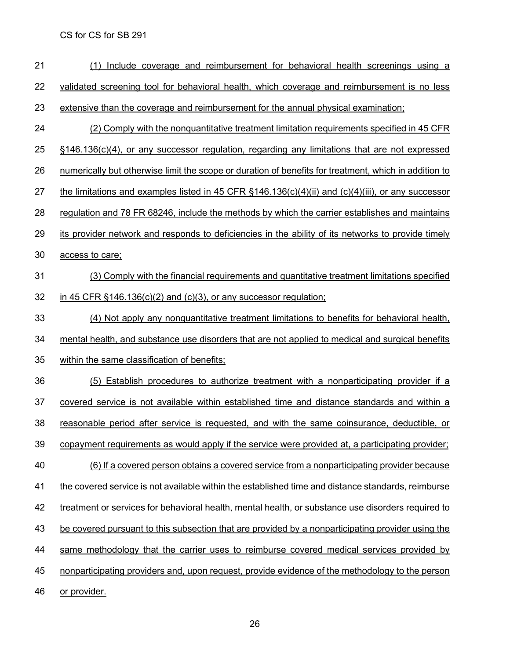| 21 | Include coverage and reimbursement for behavioral health screenings using a<br>(1)                                      |
|----|-------------------------------------------------------------------------------------------------------------------------|
| 22 | validated screening tool for behavioral health, which coverage and reimbursement is no less                             |
| 23 | extensive than the coverage and reimbursement for the annual physical examination;                                      |
| 24 | (2) Comply with the nonquantitative treatment limitation requirements specified in 45 CFR                               |
| 25 | <u>§146.136(c)(4), or any successor regulation, regarding any limitations that are not expressed</u>                    |
| 26 | numerically but otherwise limit the scope or duration of benefits for treatment, which in addition to                   |
| 27 | <u>the limitations and examples listed in 45 CFR <math>\S</math>146.136(c)(4)(ii) and (c)(4)(iii), or any successor</u> |
| 28 | regulation and 78 FR 68246, include the methods by which the carrier establishes and maintains                          |
| 29 | its provider network and responds to deficiencies in the ability of its networks to provide timely                      |
| 30 | access to care;                                                                                                         |
| 31 | (3) Comply with the financial requirements and quantitative treatment limitations specified                             |
| 32 | in 45 CFR $§146.136(c)(2)$ and $(c)(3)$ , or any successor regulation;                                                  |
| 33 | (4) Not apply any nonquantitative treatment limitations to benefits for behavioral health,                              |
| 34 | mental health, and substance use disorders that are not applied to medical and surgical benefits                        |
| 35 | within the same classification of benefits;                                                                             |
| 36 | (5) Establish procedures to authorize treatment with a nonparticipating provider if a                                   |
| 37 | covered service is not available within established time and distance standards and within a                            |
| 38 | reasonable period after service is requested, and with the same coinsurance, deductible, or                             |
| 39 | copayment requirements as would apply if the service were provided at, a participating provider;                        |
| 40 | (6) If a covered person obtains a covered service from a nonparticipating provider because                              |
| 41 | the covered service is not available within the established time and distance standards, reimburse                      |
| 42 | treatment or services for behavioral health, mental health, or substance use disorders required to                      |
| 43 | be covered pursuant to this subsection that are provided by a nonparticipating provider using the                       |
| 44 | same methodology that the carrier uses to reimburse covered medical services provided by                                |
| 45 | nonparticipating providers and, upon request, provide evidence of the methodology to the person                         |
| 46 | or provider.                                                                                                            |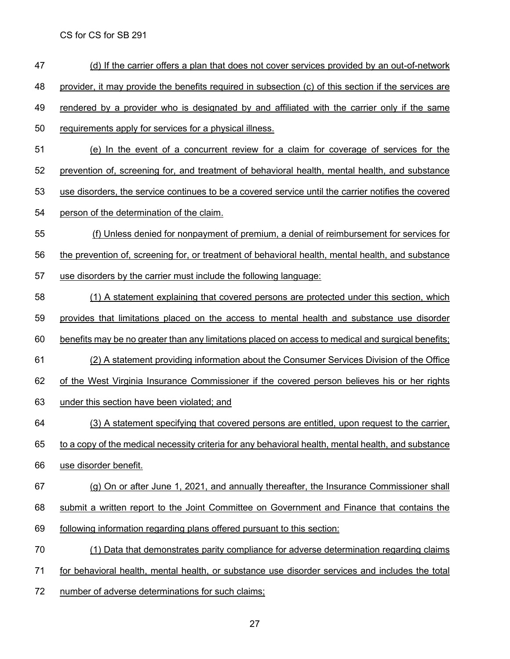- (d) If the carrier offers a plan that does not cover services provided by an out-of-network
- provider, it may provide the benefits required in subsection (c) of this section if the services are
- rendered by a provider who is designated by and affiliated with the carrier only if the same
- requirements apply for services for a physical illness.
- (e) In the event of a concurrent review for a claim for coverage of services for the
- prevention of, screening for, and treatment of behavioral health, mental health, and substance
- use disorders, the service continues to be a covered service until the carrier notifies the covered
- person of the determination of the claim.
- (f) Unless denied for nonpayment of premium, a denial of reimbursement for services for the prevention of, screening for, or treatment of behavioral health, mental health, and substance
- use disorders by the carrier must include the following language:
- (1) A statement explaining that covered persons are protected under this section, which
- provides that limitations placed on the access to mental health and substance use disorder
- benefits may be no greater than any limitations placed on access to medical and surgical benefits;
- (2) A statement providing information about the Consumer Services Division of the Office
- of the West Virginia Insurance Commissioner if the covered person believes his or her rights
- under this section have been violated; and
- (3) A statement specifying that covered persons are entitled, upon request to the carrier,
- to a copy of the medical necessity criteria for any behavioral health, mental health, and substance
- use disorder benefit.
- (g) On or after June 1, 2021, and annually thereafter, the Insurance Commissioner shall
- submit a written report to the Joint Committee on Government and Finance that contains the
- following information regarding plans offered pursuant to this section:
- (1) Data that demonstrates parity compliance for adverse determination regarding claims
- for behavioral health, mental health, or substance use disorder services and includes the total
- number of adverse determinations for such claims;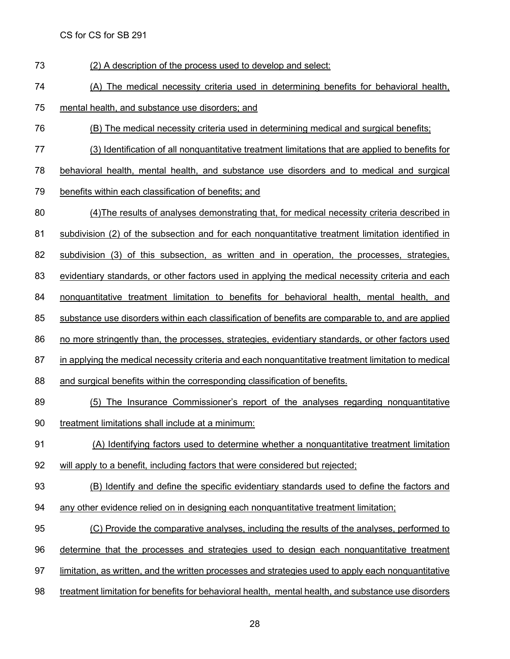(2) A description of the process used to develop and select:

(A) The medical necessity criteria used in determining benefits for behavioral health,

mental health, and substance use disorders; and

- (B) The medical necessity criteria used in determining medical and surgical benefits;
- (3) Identification of all nonquantitative treatment limitations that are applied to benefits for
- behavioral health, mental health, and substance use disorders and to medical and surgical
- benefits within each classification of benefits; and
- (4)The results of analyses demonstrating that, for medical necessity criteria described in
- subdivision (2) of the subsection and for each nonquantitative treatment limitation identified in
- subdivision (3) of this subsection, as written and in operation, the processes, strategies,
- evidentiary standards, or other factors used in applying the medical necessity criteria and each
- nonquantitative treatment limitation to benefits for behavioral health, mental health, and
- substance use disorders within each classification of benefits are comparable to, and are applied
- no more stringently than, the processes, strategies, evidentiary standards, or other factors used
- 87 in applying the medical necessity criteria and each nonquantitative treatment limitation to medical
- and surgical benefits within the corresponding classification of benefits.
- (5) The Insurance Commissioner's report of the analyses regarding nonquantitative
- treatment limitations shall include at a minimum:
- (A) Identifying factors used to determine whether a nonquantitative treatment limitation
- will apply to a benefit, including factors that were considered but rejected;
- (B) Identify and define the specific evidentiary standards used to define the factors and
- 94 any other evidence relied on in designing each nonquantitative treatment limitation;
- (C) Provide the comparative analyses, including the results of the analyses, performed to
- determine that the processes and strategies used to design each nonquantitative treatment
- limitation, as written, and the written processes and strategies used to apply each nonquantitative
- treatment limitation for benefits for behavioral health, mental health, and substance use disorders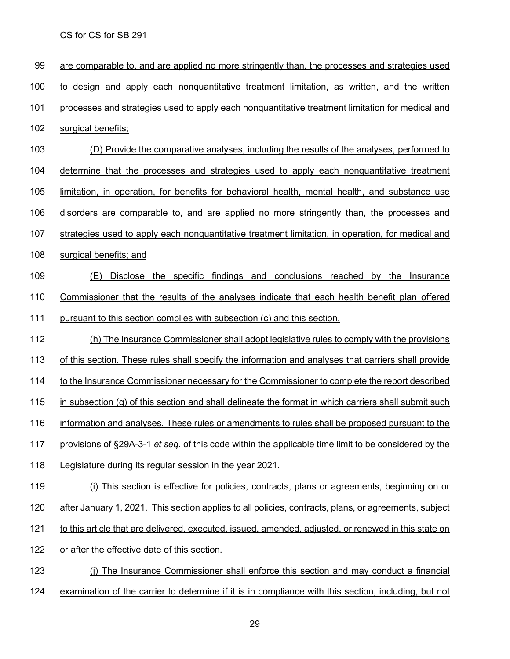are comparable to, and are applied no more stringently than, the processes and strategies used to design and apply each nonquantitative treatment limitation, as written, and the written processes and strategies used to apply each nonquantitative treatment limitation for medical and surgical benefits; (D) Provide the comparative analyses, including the results of the analyses, performed to determine that the processes and strategies used to apply each nonquantitative treatment limitation, in operation, for benefits for behavioral health, mental health, and substance use disorders are comparable to, and are applied no more stringently than, the processes and strategies used to apply each nonquantitative treatment limitation, in operation, for medical and surgical benefits; and (E) Disclose the specific findings and conclusions reached by the Insurance Commissioner that the results of the analyses indicate that each health benefit plan offered pursuant to this section complies with subsection (c) and this section. (h) The Insurance Commissioner shall adopt legislative rules to comply with the provisions of this section. These rules shall specify the information and analyses that carriers shall provide to the Insurance Commissioner necessary for the Commissioner to complete the report described 115 in subsection (g) of this section and shall delineate the format in which carriers shall submit such information and analyses. These rules or amendments to rules shall be proposed pursuant to the provisions of §29A-3-1 *et seq.* of this code within the applicable time limit to be considered by the Legislature during its regular session in the year 2021. 119 (i) This section is effective for policies, contracts, plans or agreements, beginning on or 120 after January 1, 2021. This section applies to all policies, contracts, plans, or agreements, subject to this article that are delivered, executed, issued, amended, adjusted, or renewed in this state on or after the effective date of this section. (j) The Insurance Commissioner shall enforce this section and may conduct a financial examination of the carrier to determine if it is in compliance with this section, including, but not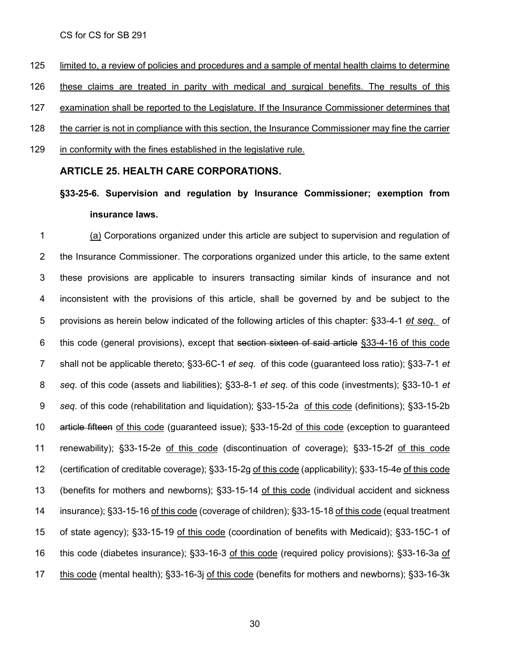limited to, a review of policies and procedures and a sample of mental health claims to determine these claims are treated in parity with medical and surgical benefits. The results of this examination shall be reported to the Legislature. If the Insurance Commissioner determines that the carrier is not in compliance with this section, the Insurance Commissioner may fine the carrier in conformity with the fines established in the legislative rule.

#### **ARTICLE 25. HEALTH CARE [CORPORATIONS.](http://code.wvlegislature.gov/33-25/)**

# **§33-25-6. Supervision and regulation by Insurance Commissioner; exemption from insurance laws.**

 (a) Corporations organized under this article are subject to supervision and regulation of 2 the Insurance Commissioner. The corporations organized under this article, to the same extent these provisions are applicable to insurers transacting similar kinds of insurance and not inconsistent with the provisions of this article, shall be governed by and be subject to the provisions as herein below indicated of the following articles of this chapter: §33-4-1 *et seq.* of this code (general provisions), except that section sixteen of said article §33-4-16 of this code shall not be applicable thereto; §33-6C-1 *et seq*. of this code (guaranteed loss ratio); §33-7-1 *et seq*. of this code (assets and liabilities); §33-8-1 *et seq*. of this code (investments); §33-10-1 *et seq*. of this code (rehabilitation and liquidation); §33-15-2a of this code (definitions); §33-15-2b article fifteen of this code (guaranteed issue); §33-15-2d of this code (exception to guaranteed renewability); §33-15-2e of this code (discontinuation of coverage); §33-15-2f of this code (certification of creditable coverage); §33-15-2g of this code (applicability); §33-15-4e of this code 13 (benefits for mothers and newborns); §33-15-14 of this code (individual accident and sickness 14 insurance); §33-15-16 of this code (coverage of children); §33-15-18 of this code (equal treatment of state agency); §33-15-19 of this code (coordination of benefits with Medicaid); §33-15C-1 of 16 this code (diabetes insurance); §33-16-3 of this code (required policy provisions); §33-16-3a of this code (mental health); §33-16-3j of this code (benefits for mothers and newborns); §33-16-3k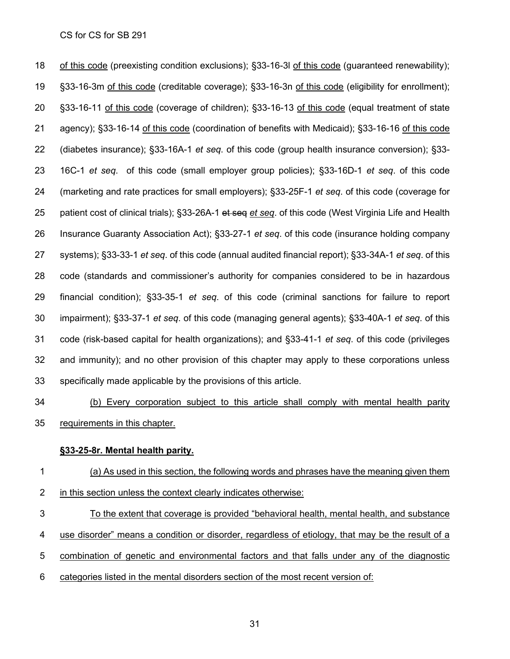of this code (preexisting condition exclusions); §33-16-3l of this code (guaranteed renewability); §33-16-3m of this code (creditable coverage); §33-16-3n of this code (eligibility for enrollment); §33-16-11 of this code (coverage of children); §33-16-13 of this code (equal treatment of state agency); §33-16-14 of this code (coordination of benefits with Medicaid); §33-16-16 of this code (diabetes insurance); §33-16A-1 *et seq*. of this code (group health insurance conversion); §33- 16C-1 *et seq*. of this code (small employer group policies); §33-16D-1 *et seq*. of this code (marketing and rate practices for small employers); §33-25F-1 *et seq*. of this code (coverage for patient cost of clinical trials); §33-26A-1 et seq *et seq*. of this code (West Virginia Life and Health Insurance Guaranty Association Act); §33-27-1 *et seq*. of this code (insurance holding company systems); §33-33-1 *et seq*. of this code (annual audited financial report); §33-34A-1 *et seq*. of this code (standards and commissioner's authority for companies considered to be in hazardous financial condition); §33-35-1 *et seq*. of this code (criminal sanctions for failure to report impairment); §33-37-1 *et seq*. of this code (managing general agents); §33-40A-1 *et seq*. of this code (risk-based capital for health organizations); and §33-41-1 *et seq*. of this code (privileges and immunity); and no other provision of this chapter may apply to these corporations unless specifically made applicable by the provisions of this article.

 (b) Every corporation subject to this article shall comply with mental health parity requirements in this chapter.

#### **§33-25-8r. Mental health parity.**

 (a) As used in this section, the following words and phrases have the meaning given them in this section unless the context clearly indicates otherwise:

- To the extent that coverage is provided "behavioral health, mental health, and substance
- use disorder" means a condition or disorder, regardless of etiology, that may be the result of a
- combination of genetic and environmental factors and that falls under any of the diagnostic
- categories listed in the mental disorders section of the most recent version of: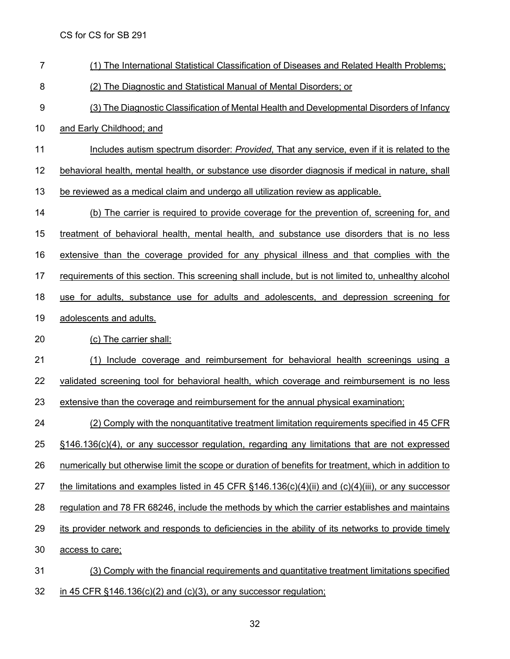- (1) The International Statistical Classification of Diseases and Related Health Problems;
- (2) The Diagnostic and Statistical Manual of Mental Disorders; or
- (3) The Diagnostic Classification of Mental Health and Developmental Disorders of Infancy
- and Early Childhood; and
- Includes autism spectrum disorder: *Provided*, That any service, even if it is related to the
- behavioral health, mental health, or substance use disorder diagnosis if medical in nature, shall
- 13 be reviewed as a medical claim and undergo all utilization review as applicable.

 (b) The carrier is required to provide coverage for the prevention of, screening for, and treatment of behavioral health, mental health, and substance use disorders that is no less extensive than the coverage provided for any physical illness and that complies with the requirements of this section. This screening shall include, but is not limited to, unhealthy alcohol use for adults, substance use for adults and adolescents, and depression screening for adolescents and adults. (c) The carrier shall:

- (1) Include coverage and reimbursement for behavioral health screenings using a validated screening tool for behavioral health, which coverage and reimbursement is no less
- 23 extensive than the coverage and reimbursement for the annual physical examination;

 (2) Comply with the nonquantitative treatment limitation requirements specified in 45 CFR §146.136(c)(4), or any successor regulation, regarding any limitations that are not expressed numerically but otherwise limit the scope or duration of benefits for treatment, which in addition to 27 the limitations and examples listed in 45 CFR  $\S$ 146.136(c)(4)(ii) and (c)(4)(iii), or any successor regulation and 78 FR 68246, include the methods by which the carrier establishes and maintains its provider network and responds to deficiencies in the ability of its networks to provide timely access to care;

 (3) Comply with the financial requirements and quantitative treatment limitations specified in 45 CFR §146.136(c)(2) and (c)(3), or any successor regulation;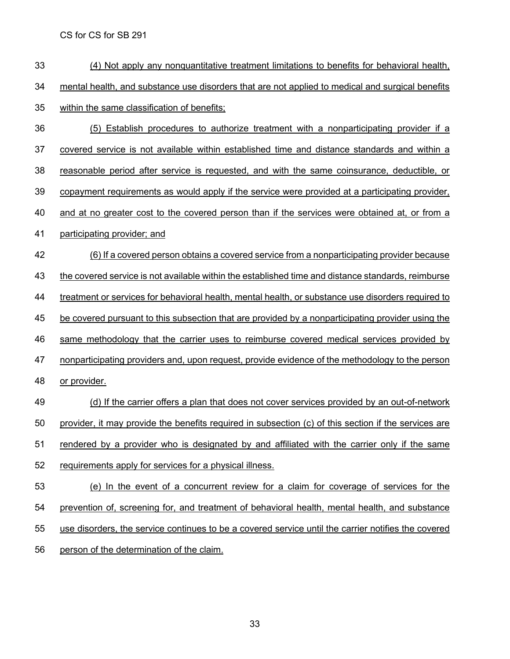- (4) Not apply any nonquantitative treatment limitations to benefits for behavioral health, 34 mental health, and substance use disorders that are not applied to medical and surgical benefits within the same classification of benefits; (5) Establish procedures to authorize treatment with a nonparticipating provider if a covered service is not available within established time and distance standards and within a reasonable period after service is requested, and with the same coinsurance, deductible, or copayment requirements as would apply if the service were provided at a participating provider, and at no greater cost to the covered person than if the services were obtained at, or from a participating provider; and (6) If a covered person obtains a covered service from a nonparticipating provider because the covered service is not available within the established time and distance standards, reimburse treatment or services for behavioral health, mental health, or substance use disorders required to be covered pursuant to this subsection that are provided by a nonparticipating provider using the same methodology that the carrier uses to reimburse covered medical services provided by 47 nonparticipating providers and, upon request, provide evidence of the methodology to the person or provider. 49 (d) If the carrier offers a plan that does not cover services provided by an out-of-network provider, it may provide the benefits required in subsection (c) of this section if the services are rendered by a provider who is designated by and affiliated with the carrier only if the same requirements apply for services for a physical illness.
- (e) In the event of a concurrent review for a claim for coverage of services for the prevention of, screening for, and treatment of behavioral health, mental health, and substance use disorders, the service continues to be a covered service until the carrier notifies the covered person of the determination of the claim.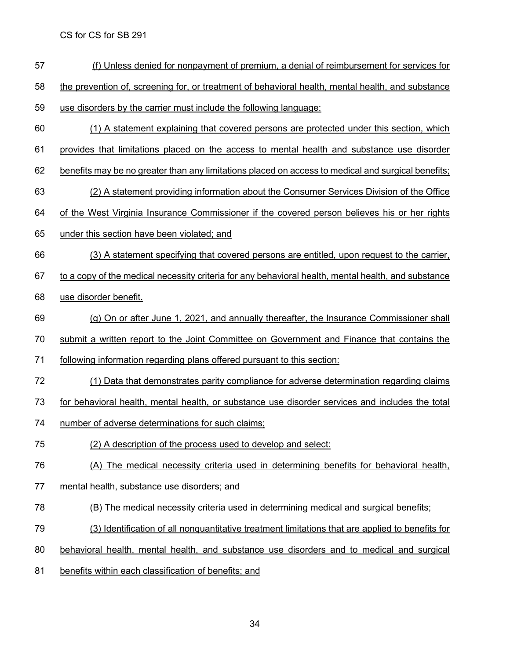- (f) Unless denied for nonpayment of premium, a denial of reimbursement for services for
- 58 the prevention of, screening for, or treatment of behavioral health, mental health, and substance
- use disorders by the carrier must include the following language:
- (1) A statement explaining that covered persons are protected under this section, which
- provides that limitations placed on the access to mental health and substance use disorder
- benefits may be no greater than any limitations placed on access to medical and surgical benefits;
- (2) A statement providing information about the Consumer Services Division of the Office
- of the West Virginia Insurance Commissioner if the covered person believes his or her rights
- under this section have been violated; and
- (3) A statement specifying that covered persons are entitled, upon request to the carrier,
- to a copy of the medical necessity criteria for any behavioral health, mental health, and substance
- use disorder benefit.
- (g) On or after June 1, 2021, and annually thereafter, the Insurance Commissioner shall
- submit a written report to the Joint Committee on Government and Finance that contains the
- following information regarding plans offered pursuant to this section:
- (1) Data that demonstrates parity compliance for adverse determination regarding claims
- for behavioral health, mental health, or substance use disorder services and includes the total
- number of adverse determinations for such claims;
- (2) A description of the process used to develop and select:
- (A) The medical necessity criteria used in determining benefits for behavioral health,
- mental health, substance use disorders; and
- (B) The medical necessity criteria used in determining medical and surgical benefits;
- (3) Identification of all nonquantitative treatment limitations that are applied to benefits for
- behavioral health, mental health, and substance use disorders and to medical and surgical
- benefits within each classification of benefits; and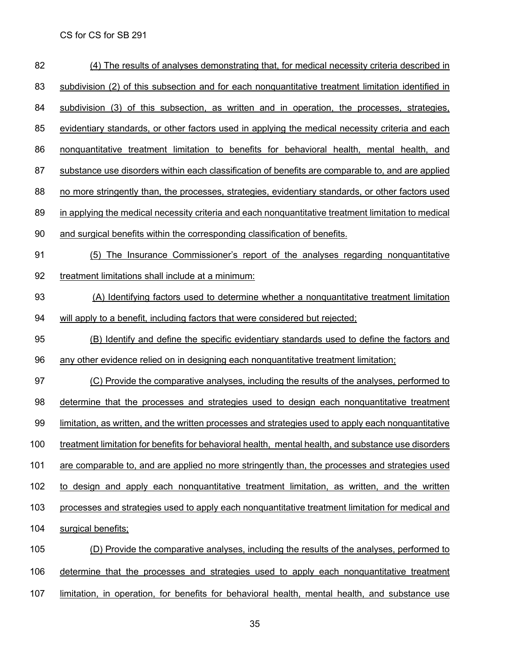| 82  | (4) The results of analyses demonstrating that, for medical necessity criteria described in         |
|-----|-----------------------------------------------------------------------------------------------------|
| 83  | subdivision (2) of this subsection and for each nonquantitative treatment limitation identified in  |
| 84  | subdivision (3) of this subsection, as written and in operation, the processes, strategies,         |
| 85  | evidentiary standards, or other factors used in applying the medical necessity criteria and each    |
| 86  | nonquantitative treatment limitation to benefits for behavioral health, mental health, and          |
| 87  | substance use disorders within each classification of benefits are comparable to, and are applied   |
| 88  | no more stringently than, the processes, strategies, evidentiary standards, or other factors used   |
| 89  | in applying the medical necessity criteria and each nonquantitative treatment limitation to medical |
| 90  | and surgical benefits within the corresponding classification of benefits.                          |
| 91  | (5) The Insurance Commissioner's report of the analyses regarding nonquantitative                   |
| 92  | treatment limitations shall include at a minimum:                                                   |
| 93  | (A) Identifying factors used to determine whether a nonquantitative treatment limitation            |
| 94  | will apply to a benefit, including factors that were considered but rejected;                       |
| 95  | (B) Identify and define the specific evidentiary standards used to define the factors and           |
| 96  | any other evidence relied on in designing each nonquantitative treatment limitation;                |
| 97  | (C) Provide the comparative analyses, including the results of the analyses, performed to           |
| 98  | determine that the processes and strategies used to design each nonquantitative treatment           |
| 99  | limitation, as written, and the written processes and strategies used to apply each nonquantitative |
| 100 | treatment limitation for benefits for behavioral health, mental health, and substance use disorders |
| 101 | are comparable to, and are applied no more stringently than, the processes and strategies used      |
| 102 | to design and apply each nonquantitative treatment limitation, as written, and the written          |
| 103 | processes and strategies used to apply each nonquantitative treatment limitation for medical and    |
| 104 | surgical benefits;                                                                                  |
| 105 | (D) Provide the comparative analyses, including the results of the analyses, performed to           |
| 106 | determine that the processes and strategies used to apply each nonquantitative treatment            |
| 107 | limitation, in operation, for benefits for behavioral health, mental health, and substance use      |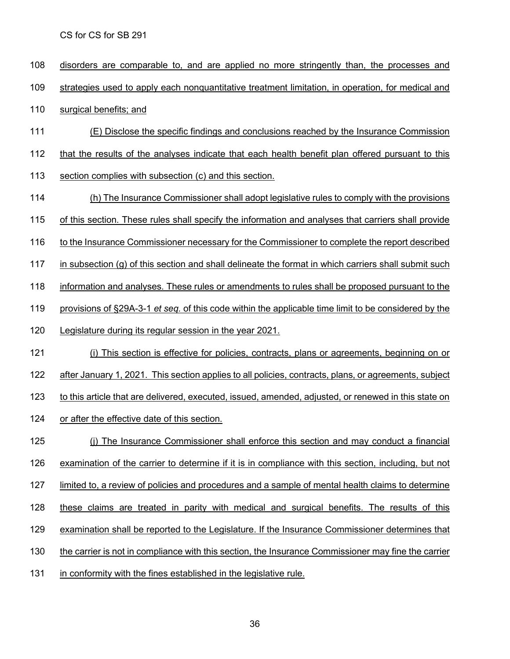disorders are comparable to, and are applied no more stringently than, the processes and strategies used to apply each nonquantitative treatment limitation, in operation, for medical and surgical benefits; and (E) Disclose the specific findings and conclusions reached by the Insurance Commission that the results of the analyses indicate that each health benefit plan offered pursuant to this section complies with subsection (c) and this section. (h) The Insurance Commissioner shall adopt legislative rules to comply with the provisions of this section. These rules shall specify the information and analyses that carriers shall provide 116 to the Insurance Commissioner necessary for the Commissioner to complete the report described in subsection (g) of this section and shall delineate the format in which carriers shall submit such information and analyses. These rules or amendments to rules shall be proposed pursuant to the provisions of §29A-3-1 *et seq.* of this code within the applicable time limit to be considered by the Legislature during its regular session in the year 2021. 121 (i) This section is effective for policies, contracts, plans or agreements, beginning on or after January 1, 2021. This section applies to all policies, contracts, plans, or agreements, subject to this article that are delivered, executed, issued, amended, adjusted, or renewed in this state on or after the effective date of this section. (j) The Insurance Commissioner shall enforce this section and may conduct a financial examination of the carrier to determine if it is in compliance with this section, including, but not limited to, a review of policies and procedures and a sample of mental health claims to determine 128 these claims are treated in parity with medical and surgical benefits. The results of this examination shall be reported to the Legislature. If the Insurance Commissioner determines that the carrier is not in compliance with this section, the Insurance Commissioner may fine the carrier in conformity with the fines established in the legislative rule.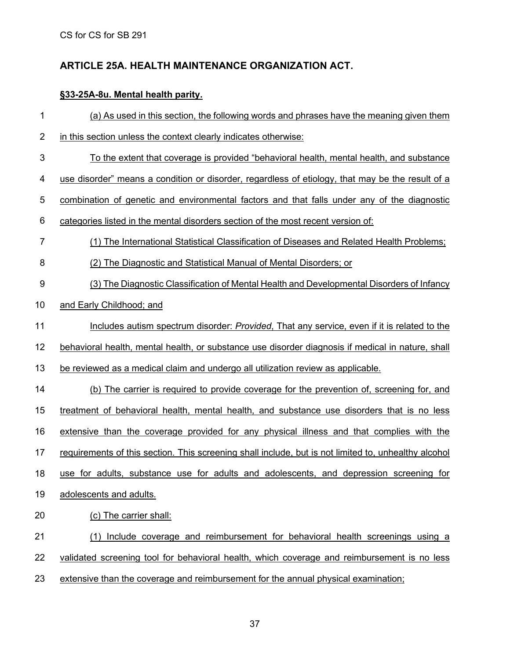## **ARTICLE 25A. HEALTH MAINTENANCE [ORGANIZATION](http://code.wvlegislature.gov/33-25A/) ACT.**

## **§33-25A-8u. Mental health parity.**

| 1  | (a) As used in this section, the following words and phrases have the meaning given them             |
|----|------------------------------------------------------------------------------------------------------|
| 2  | in this section unless the context clearly indicates otherwise:                                      |
| 3  | <u>To the extent that coverage is provided "behavioral health, mental health, and substance</u>      |
| 4  | use disorder" means a condition or disorder, regardless of etiology, that may be the result of a     |
| 5  | combination of genetic and environmental factors and that falls under any of the diagnostic          |
| 6  | categories listed in the mental disorders section of the most recent version of:                     |
| 7  | (1) The International Statistical Classification of Diseases and Related Health Problems;            |
| 8  | (2) The Diagnostic and Statistical Manual of Mental Disorders; or                                    |
| 9  | (3) The Diagnostic Classification of Mental Health and Developmental Disorders of Infancy            |
| 10 | and Early Childhood; and                                                                             |
| 11 | Includes autism spectrum disorder: Provided, That any service, even if it is related to the          |
| 12 | behavioral health, mental health, or substance use disorder diagnosis if medical in nature, shall    |
| 13 | be reviewed as a medical claim and undergo all utilization review as applicable.                     |
| 14 | (b) The carrier is required to provide coverage for the prevention of, screening for, and            |
| 15 | treatment of behavioral health, mental health, and substance use disorders that is no less           |
| 16 | extensive than the coverage provided for any physical illness and that complies with the             |
| 17 | requirements of this section. This screening shall include, but is not limited to, unhealthy alcohol |
| 18 | use for adults, substance use for adults and adolescents, and depression screening for               |
| 19 | adolescents and adults.                                                                              |
| 20 | (c) The carrier shall:                                                                               |
| 21 | Include coverage and reimbursement for behavioral health screenings using a<br>(1)                   |
| 22 | validated screening tool for behavioral health, which coverage and reimbursement is no less          |
| 23 | extensive than the coverage and reimbursement for the annual physical examination;                   |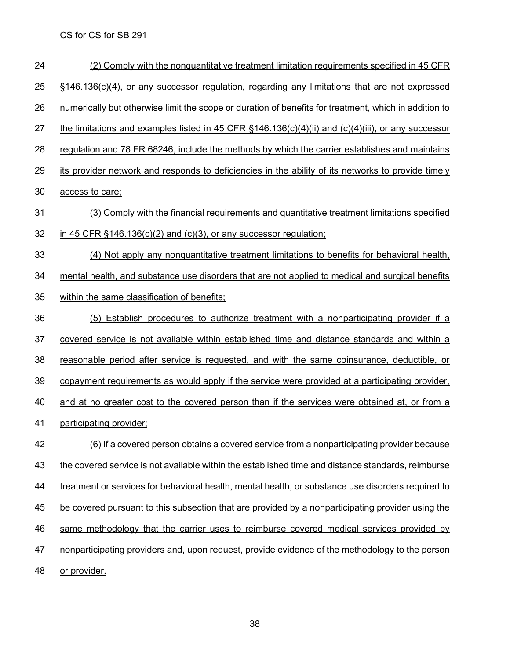(2) Comply with the nonquantitative treatment limitation requirements specified in 45 CFR 25 §146.136(c)(4), or any successor regulation, regarding any limitations that are not expressed numerically but otherwise limit the scope or duration of benefits for treatment, which in addition to 27 the limitations and examples listed in 45 CFR  $\S$ 146.136(c)(4)(ii) and (c)(4)(iii), or any successor 28 regulation and 78 FR 68246, include the methods by which the carrier establishes and maintains its provider network and responds to deficiencies in the ability of its networks to provide timely access to care; (3) Comply with the financial requirements and quantitative treatment limitations specified in 45 CFR §146.136(c)(2) and (c)(3), or any successor regulation; (4) Not apply any nonquantitative treatment limitations to benefits for behavioral health, mental health, and substance use disorders that are not applied to medical and surgical benefits within the same classification of benefits; (5) Establish procedures to authorize treatment with a nonparticipating provider if a covered service is not available within established time and distance standards and within a reasonable period after service is requested, and with the same coinsurance, deductible, or copayment requirements as would apply if the service were provided at a participating provider, 40 and at no greater cost to the covered person than if the services were obtained at, or from a participating provider; (6) If a covered person obtains a covered service from a nonparticipating provider because 43 the covered service is not available within the established time and distance standards, reimburse treatment or services for behavioral health, mental health, or substance use disorders required to 45 be covered pursuant to this subsection that are provided by a nonparticipating provider using the same methodology that the carrier uses to reimburse covered medical services provided by nonparticipating providers and, upon request, provide evidence of the methodology to the person 48 or provider.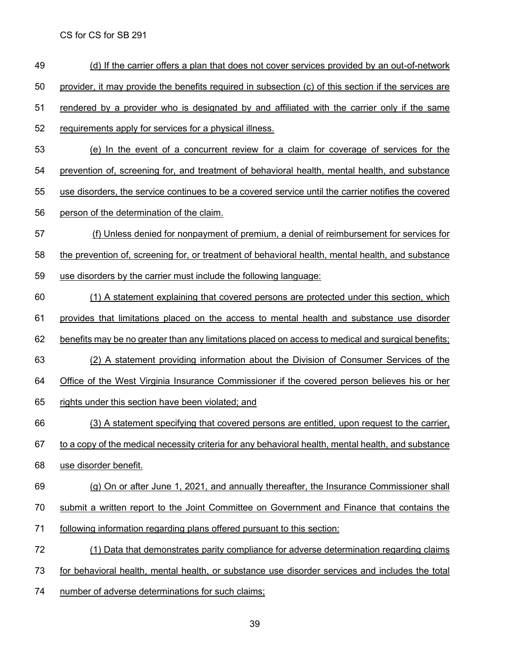- (d) If the carrier offers a plan that does not cover services provided by an out-of-network
- provider, it may provide the benefits required in subsection (c) of this section if the services are
- rendered by a provider who is designated by and affiliated with the carrier only if the same
- requirements apply for services for a physical illness.
- (e) In the event of a concurrent review for a claim for coverage of services for the
- prevention of, screening for, and treatment of behavioral health, mental health, and substance
- use disorders, the service continues to be a covered service until the carrier notifies the covered
- person of the determination of the claim.
- (f) Unless denied for nonpayment of premium, a denial of reimbursement for services for the prevention of, screening for, or treatment of behavioral health, mental health, and substance
- use disorders by the carrier must include the following language:
- (1) A statement explaining that covered persons are protected under this section, which
- provides that limitations placed on the access to mental health and substance use disorder
- benefits may be no greater than any limitations placed on access to medical and surgical benefits;
- (2) A statement providing information about the Division of Consumer Services of the
- Office of the West Virginia Insurance Commissioner if the covered person believes his or her
- 65 rights under this section have been violated; and
- (3) A statement specifying that covered persons are entitled, upon request to the carrier,
- to a copy of the medical necessity criteria for any behavioral health, mental health, and substance
- use disorder benefit.
- (g) On or after June 1, 2021, and annually thereafter, the Insurance Commissioner shall
- submit a written report to the Joint Committee on Government and Finance that contains the
- following information regarding plans offered pursuant to this section:
- (1) Data that demonstrates parity compliance for adverse determination regarding claims
- for behavioral health, mental health, or substance use disorder services and includes the total
- number of adverse determinations for such claims;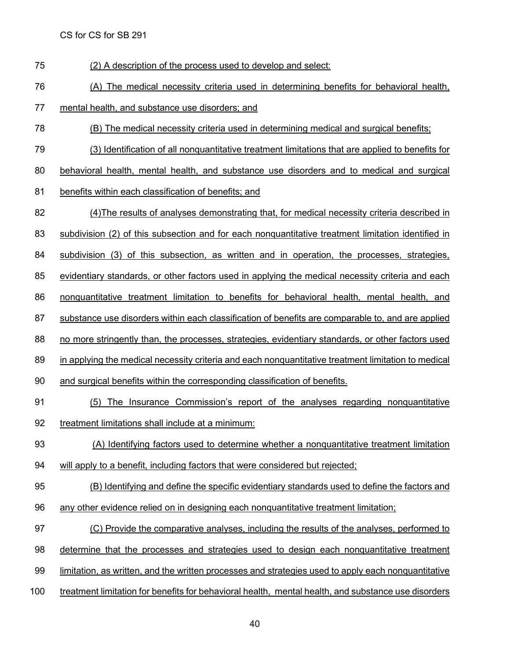(2) A description of the process used to develop and select:

(A) The medical necessity criteria used in determining benefits for behavioral health,

mental health, and substance use disorders; and

- (B) The medical necessity criteria used in determining medical and surgical benefits;
- (3) Identification of all nonquantitative treatment limitations that are applied to benefits for
- behavioral health, mental health, and substance use disorders and to medical and surgical
- 81 benefits within each classification of benefits; and
- (4)The results of analyses demonstrating that, for medical necessity criteria described in
- subdivision (2) of this subsection and for each nonquantitative treatment limitation identified in
- subdivision (3) of this subsection, as written and in operation, the processes, strategies,
- evidentiary standards, or other factors used in applying the medical necessity criteria and each
- nonquantitative treatment limitation to benefits for behavioral health, mental health, and
- substance use disorders within each classification of benefits are comparable to, and are applied
- no more stringently than, the processes, strategies, evidentiary standards, or other factors used
- in applying the medical necessity criteria and each nonquantitative treatment limitation to medical
- and surgical benefits within the corresponding classification of benefits.
- (5) The Insurance Commission's report of the analyses regarding nonquantitative treatment limitations shall include at a minimum:
- (A) Identifying factors used to determine whether a nonquantitative treatment limitation
- will apply to a benefit, including factors that were considered but rejected;
- (B) Identifying and define the specific evidentiary standards used to define the factors and
- 96 any other evidence relied on in designing each nonquantitative treatment limitation;
- (C) Provide the comparative analyses, including the results of the analyses, performed to
- determine that the processes and strategies used to design each nonquantitative treatment
- limitation, as written, and the written processes and strategies used to apply each nonquantitative
- treatment limitation for benefits for behavioral health, mental health, and substance use disorders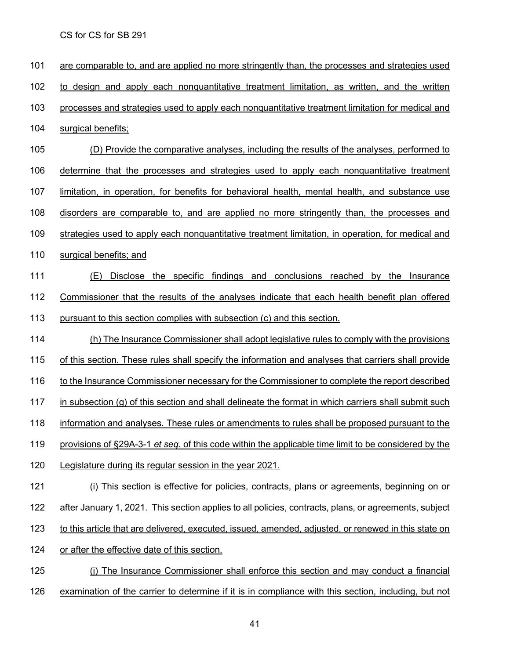are comparable to, and are applied no more stringently than, the processes and strategies used to design and apply each nonquantitative treatment limitation, as written, and the written processes and strategies used to apply each nonquantitative treatment limitation for medical and surgical benefits; (D) Provide the comparative analyses, including the results of the analyses, performed to determine that the processes and strategies used to apply each nonquantitative treatment limitation, in operation, for benefits for behavioral health, mental health, and substance use disorders are comparable to, and are applied no more stringently than, the processes and strategies used to apply each nonquantitative treatment limitation, in operation, for medical and surgical benefits; and (E) Disclose the specific findings and conclusions reached by the Insurance Commissioner that the results of the analyses indicate that each health benefit plan offered pursuant to this section complies with subsection (c) and this section. (h) The Insurance Commissioner shall adopt legislative rules to comply with the provisions of this section. These rules shall specify the information and analyses that carriers shall provide 116 to the Insurance Commissioner necessary for the Commissioner to complete the report described 117 in subsection (g) of this section and shall delineate the format in which carriers shall submit such information and analyses. These rules or amendments to rules shall be proposed pursuant to the provisions of §29A-3-1 *et seq.* of this code within the applicable time limit to be considered by the Legislature during its regular session in the year 2021. 121 (i) This section is effective for policies, contracts, plans or agreements, beginning on or 122 after January 1, 2021. This section applies to all policies, contracts, plans, or agreements, subject to this article that are delivered, executed, issued, amended, adjusted, or renewed in this state on or after the effective date of this section. (j) The Insurance Commissioner shall enforce this section and may conduct a financial examination of the carrier to determine if it is in compliance with this section, including, but not